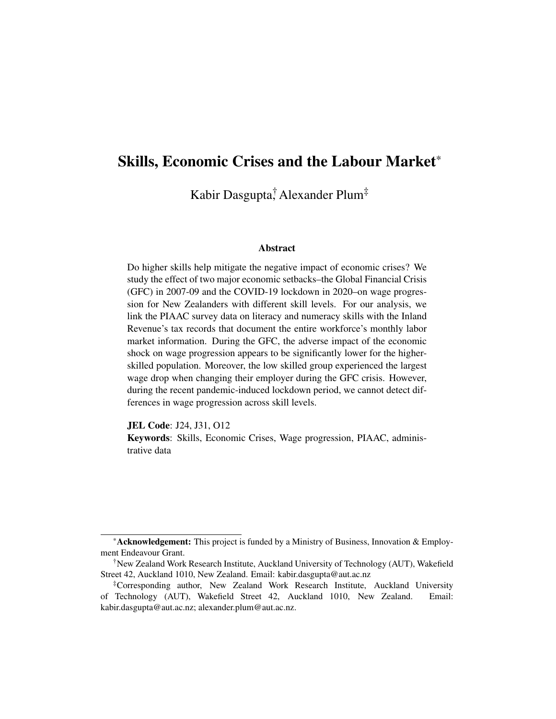# <span id="page-0-0"></span>Skills, Economic Crises and the Labour Market\*

Kabir Dasgupta<sup>†</sup> Alexander Plum<sup>‡</sup>

#### Abstract

Do higher skills help mitigate the negative impact of economic crises? We study the effect of two major economic setbacks–the Global Financial Crisis (GFC) in 2007-09 and the COVID-19 lockdown in 2020–on wage progression for New Zealanders with different skill levels. For our analysis, we link the PIAAC survey data on literacy and numeracy skills with the Inland Revenue's tax records that document the entire workforce's monthly labor market information. During the GFC, the adverse impact of the economic shock on wage progression appears to be significantly lower for the higherskilled population. Moreover, the low skilled group experienced the largest wage drop when changing their employer during the GFC crisis. However, during the recent pandemic-induced lockdown period, we cannot detect differences in wage progression across skill levels.

JEL Code: J24, J31, O12

Keywords: Skills, Economic Crises, Wage progression, PIAAC, administrative data

<sup>\*</sup>Acknowledgement: This project is funded by a Ministry of Business, Innovation & Employment Endeavour Grant.

<sup>†</sup>New Zealand Work Research Institute, Auckland University of Technology (AUT), Wakefield Street 42, Auckland 1010, New Zealand. Email: kabir.dasgupta@aut.ac.nz

<sup>‡</sup>Corresponding author, New Zealand Work Research Institute, Auckland University of Technology (AUT), Wakefield Street 42, Auckland 1010, New Zealand. Email: kabir.dasgupta@aut.ac.nz; alexander.plum@aut.ac.nz.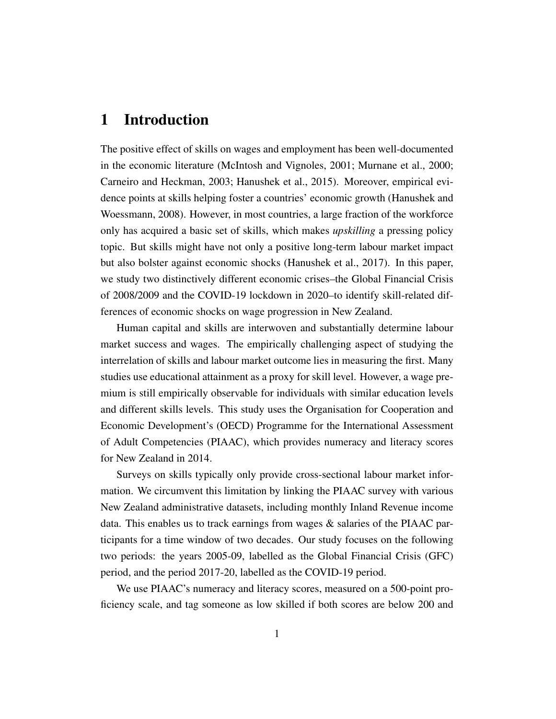### 1 Introduction

The positive effect of skills on wages and employment has been well-documented in the economic literature [\(McIntosh and Vignoles, 2001;](#page-30-0) [Murnane et al., 2000;](#page-31-0) [Carneiro and Heckman, 2003;](#page-28-0) [Hanushek et al., 2015\)](#page-29-0). Moreover, empirical evidence points at skills helping foster a countries' economic growth [\(Hanushek and](#page-29-1) [Woessmann, 2008\)](#page-29-1). However, in most countries, a large fraction of the workforce only has acquired a basic set of skills, which makes *upskilling* a pressing policy topic. But skills might have not only a positive long-term labour market impact but also bolster against economic shocks [\(Hanushek et al., 2017\)](#page-30-1). In this paper, we study two distinctively different economic crises–the Global Financial Crisis of 2008/2009 and the COVID-19 lockdown in 2020–to identify skill-related differences of economic shocks on wage progression in New Zealand.

Human capital and skills are interwoven and substantially determine labour market success and wages. The empirically challenging aspect of studying the interrelation of skills and labour market outcome lies in measuring the first. Many studies use educational attainment as a proxy for skill level. However, a wage premium is still empirically observable for individuals with similar education levels and different skills levels. This study uses the Organisation for Cooperation and Economic Development's (OECD) Programme for the International Assessment of Adult Competencies (PIAAC), which provides numeracy and literacy scores for New Zealand in 2014.

Surveys on skills typically only provide cross-sectional labour market information. We circumvent this limitation by linking the PIAAC survey with various New Zealand administrative datasets, including monthly Inland Revenue income data. This enables us to track earnings from wages & salaries of the PIAAC participants for a time window of two decades. Our study focuses on the following two periods: the years 2005-09, labelled as the Global Financial Crisis (GFC) period, and the period 2017-20, labelled as the COVID-19 period.

We use PIAAC's numeracy and literacy scores, measured on a 500-point proficiency scale, and tag someone as low skilled if both scores are below 200 and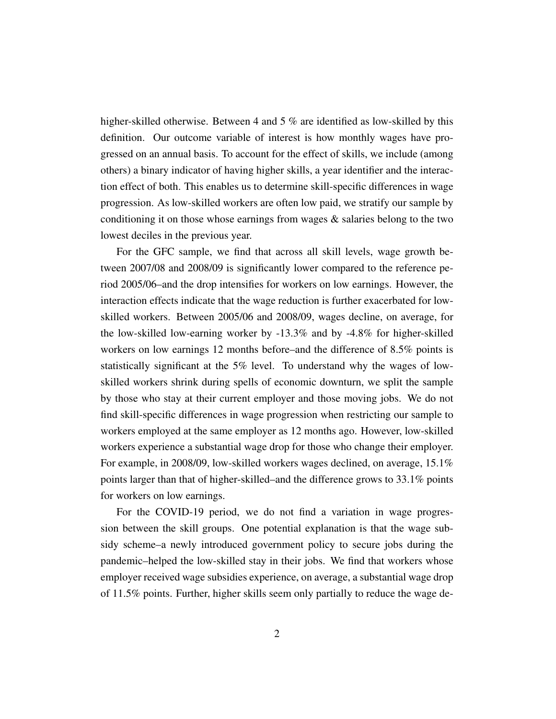higher-skilled otherwise. Between 4 and 5 % are identified as low-skilled by this definition. Our outcome variable of interest is how monthly wages have progressed on an annual basis. To account for the effect of skills, we include (among others) a binary indicator of having higher skills, a year identifier and the interaction effect of both. This enables us to determine skill-specific differences in wage progression. As low-skilled workers are often low paid, we stratify our sample by conditioning it on those whose earnings from wages & salaries belong to the two lowest deciles in the previous year.

For the GFC sample, we find that across all skill levels, wage growth between 2007/08 and 2008/09 is significantly lower compared to the reference period 2005/06–and the drop intensifies for workers on low earnings. However, the interaction effects indicate that the wage reduction is further exacerbated for lowskilled workers. Between 2005/06 and 2008/09, wages decline, on average, for the low-skilled low-earning worker by -13.3% and by -4.8% for higher-skilled workers on low earnings 12 months before–and the difference of 8.5% points is statistically significant at the 5% level. To understand why the wages of lowskilled workers shrink during spells of economic downturn, we split the sample by those who stay at their current employer and those moving jobs. We do not find skill-specific differences in wage progression when restricting our sample to workers employed at the same employer as 12 months ago. However, low-skilled workers experience a substantial wage drop for those who change their employer. For example, in 2008/09, low-skilled workers wages declined, on average, 15.1% points larger than that of higher-skilled–and the difference grows to 33.1% points for workers on low earnings.

For the COVID-19 period, we do not find a variation in wage progression between the skill groups. One potential explanation is that the wage subsidy scheme–a newly introduced government policy to secure jobs during the pandemic–helped the low-skilled stay in their jobs. We find that workers whose employer received wage subsidies experience, on average, a substantial wage drop of 11.5% points. Further, higher skills seem only partially to reduce the wage de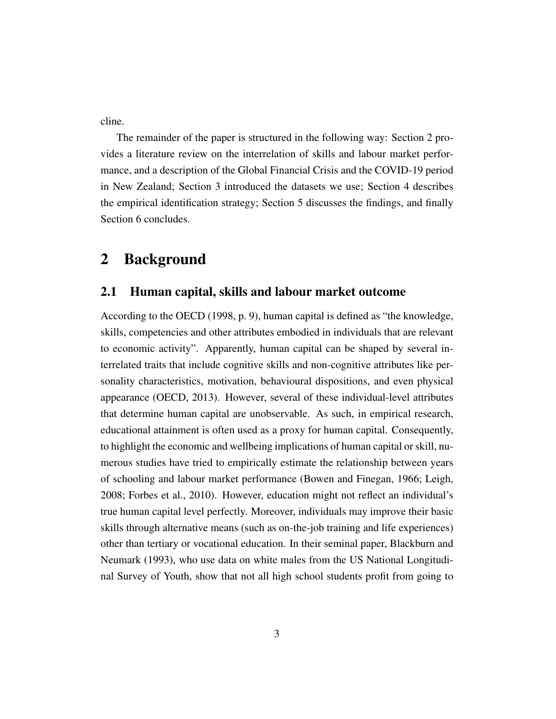cline.

The remainder of the paper is structured in the following way: Section [2](#page-3-0) provides a literature review on the interrelation of skills and labour market performance, and a description of the Global Financial Crisis and the COVID-19 period in New Zealand; Section [3](#page-9-0) introduced the datasets we use; Section [4](#page-13-0) describes the empirical identification strategy; Section [5](#page-16-0) discusses the findings, and finally Section [6](#page-26-0) concludes.

# <span id="page-3-0"></span>2 Background

#### 2.1 Human capital, skills and labour market outcome

According to the [OECD](#page-31-1) [\(1998,](#page-31-1) p. 9), human capital is defined as "the knowledge, skills, competencies and other attributes embodied in individuals that are relevant to economic activity". Apparently, human capital can be shaped by several interrelated traits that include cognitive skills and non-cognitive attributes like personality characteristics, motivation, behavioural dispositions, and even physical appearance [\(OECD, 2013\)](#page-31-2). However, several of these individual-level attributes that determine human capital are unobservable. As such, in empirical research, educational attainment is often used as a proxy for human capital. Consequently, to highlight the economic and wellbeing implications of human capital or skill, numerous studies have tried to empirically estimate the relationship between years of schooling and labour market performance [\(Bowen and Finegan, 1966;](#page-28-1) [Leigh,](#page-30-2) [2008;](#page-30-2) [Forbes et al., 2010\)](#page-29-2). However, education might not reflect an individual's true human capital level perfectly. Moreover, individuals may improve their basic skills through alternative means (such as on-the-job training and life experiences) other than tertiary or vocational education. In their seminal paper, [Blackburn and](#page-28-2) [Neumark](#page-28-2) [\(1993\)](#page-28-2), who use data on white males from the US National Longitudinal Survey of Youth, show that not all high school students profit from going to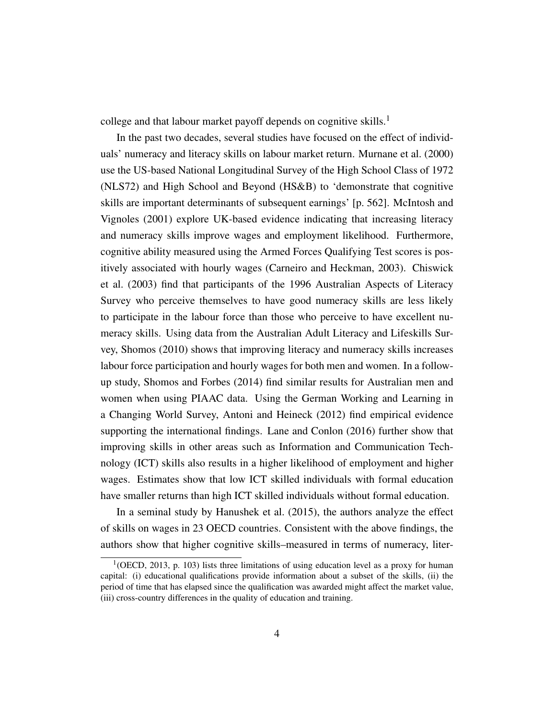college and that labour market payoff depends on cognitive skills.<sup>[1](#page-0-0)</sup>

In the past two decades, several studies have focused on the effect of individuals' numeracy and literacy skills on labour market return. [Murnane et al.](#page-31-0) [\(2000\)](#page-31-0) use the US-based National Longitudinal Survey of the High School Class of 1972 (NLS72) and High School and Beyond (HS&B) to 'demonstrate that cognitive skills are important determinants of subsequent earnings' [p. 562]. [McIntosh and](#page-30-0) [Vignoles](#page-30-0) [\(2001\)](#page-30-0) explore UK-based evidence indicating that increasing literacy and numeracy skills improve wages and employment likelihood. Furthermore, cognitive ability measured using the Armed Forces Qualifying Test scores is positively associated with hourly wages [\(Carneiro and Heckman, 2003\)](#page-28-0). [Chiswick](#page-28-3) [et al.](#page-28-3) [\(2003\)](#page-28-3) find that participants of the 1996 Australian Aspects of Literacy Survey who perceive themselves to have good numeracy skills are less likely to participate in the labour force than those who perceive to have excellent numeracy skills. Using data from the Australian Adult Literacy and Lifeskills Survey, [Shomos](#page-31-3) [\(2010\)](#page-31-3) shows that improving literacy and numeracy skills increases labour force participation and hourly wages for both men and women. In a followup study, [Shomos and Forbes](#page-31-4) [\(2014\)](#page-31-4) find similar results for Australian men and women when using PIAAC data. Using the German Working and Learning in a Changing World Survey, [Antoni and Heineck](#page-28-4) [\(2012\)](#page-28-4) find empirical evidence supporting the international findings. [Lane and Conlon](#page-30-3) [\(2016\)](#page-30-3) further show that improving skills in other areas such as Information and Communication Technology (ICT) skills also results in a higher likelihood of employment and higher wages. Estimates show that low ICT skilled individuals with formal education have smaller returns than high ICT skilled individuals without formal education.

In a seminal study by [Hanushek et al.](#page-29-0) [\(2015\)](#page-29-0), the authors analyze the effect of skills on wages in 23 OECD countries. Consistent with the above findings, the authors show that higher cognitive skills–measured in terms of numeracy, liter-

 $1$ [\(OECD, 2013,](#page-31-2) p. 103) lists three limitations of using education level as a proxy for human capital: (i) educational qualifications provide information about a subset of the skills, (ii) the period of time that has elapsed since the qualification was awarded might affect the market value, (iii) cross-country differences in the quality of education and training.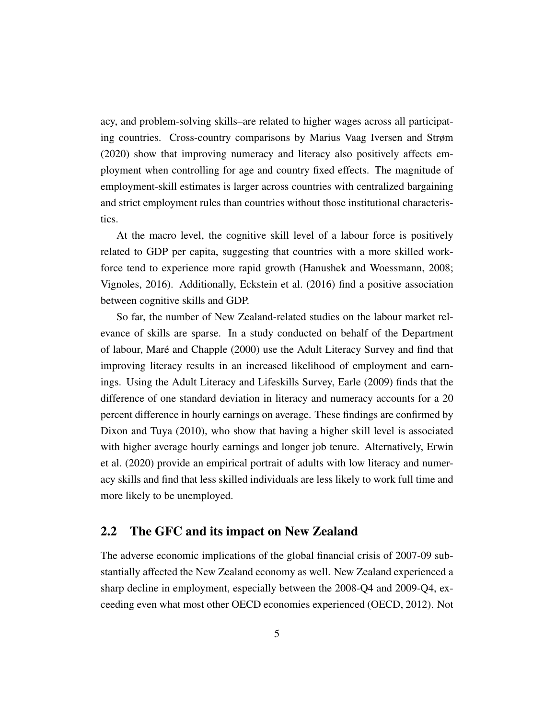acy, and problem-solving skills–are related to higher wages across all participating countries. Cross-country comparisons by [Marius Vaag Iversen and Strøm](#page-30-4) [\(2020\)](#page-30-4) show that improving numeracy and literacy also positively affects employment when controlling for age and country fixed effects. The magnitude of employment-skill estimates is larger across countries with centralized bargaining and strict employment rules than countries without those institutional characteristics.

At the macro level, the cognitive skill level of a labour force is positively related to GDP per capita, suggesting that countries with a more skilled workforce tend to experience more rapid growth [\(Hanushek and Woessmann, 2008;](#page-29-1) [Vignoles, 2016\)](#page-31-5). Additionally, [Eckstein et al.](#page-28-5) [\(2016\)](#page-28-5) find a positive association between cognitive skills and GDP.

So far, the number of New Zealand-related studies on the labour market relevance of skills are sparse. In a study conducted on behalf of the Department of labour, [Maré and Chapple](#page-30-5) [\(2000\)](#page-30-5) use the Adult Literacy Survey and find that improving literacy results in an increased likelihood of employment and earnings. Using the Adult Literacy and Lifeskills Survey, [Earle](#page-28-6) [\(2009\)](#page-28-6) finds that the difference of one standard deviation in literacy and numeracy accounts for a 20 percent difference in hourly earnings on average. These findings are confirmed by [Dixon and Tuya](#page-28-7) [\(2010\)](#page-28-7), who show that having a higher skill level is associated with higher average hourly earnings and longer job tenure. Alternatively, [Erwin](#page-29-3) [et al.](#page-29-3) [\(2020\)](#page-29-3) provide an empirical portrait of adults with low literacy and numeracy skills and find that less skilled individuals are less likely to work full time and more likely to be unemployed.

#### 2.2 The GFC and its impact on New Zealand

The adverse economic implications of the global financial crisis of 2007-09 substantially affected the New Zealand economy as well. New Zealand experienced a sharp decline in employment, especially between the 2008-Q4 and 2009-Q4, exceeding even what most other OECD economies experienced [\(OECD, 2012\)](#page-31-6). Not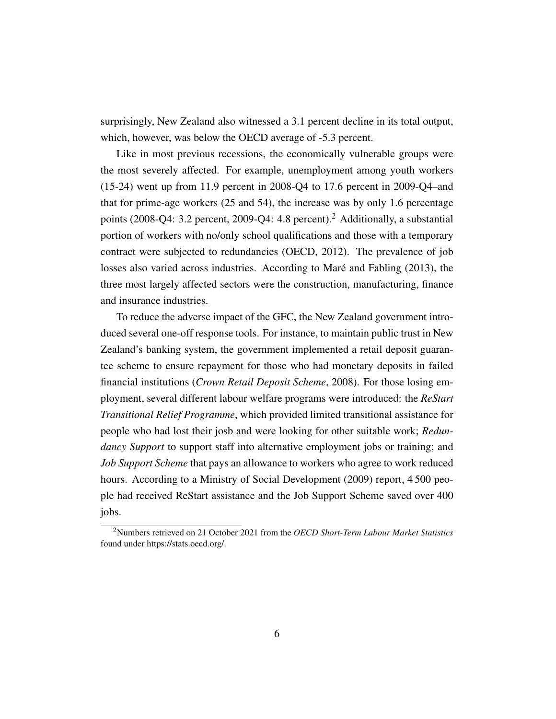surprisingly, New Zealand also witnessed a 3.1 percent decline in its total output, which, however, was below the OECD average of -5.3 percent.

Like in most previous recessions, the economically vulnerable groups were the most severely affected. For example, unemployment among youth workers (15-24) went up from 11.9 percent in 2008-Q4 to 17.6 percent in 2009-Q4–and that for prime-age workers (25 and 54), the increase was by only 1.6 percentage points (2008-Q4: 3.2 percent, 2009-Q4: 4.8 percent).[2](#page-0-0) Additionally, a substantial portion of workers with no/only school qualifications and those with a temporary contract were subjected to redundancies [\(OECD, 2012\)](#page-31-6). The prevalence of job losses also varied across industries. According to [Maré and Fabling](#page-30-6) [\(2013\)](#page-30-6), the three most largely affected sectors were the construction, manufacturing, finance and insurance industries.

To reduce the adverse impact of the GFC, the New Zealand government introduced several one-off response tools. For instance, to maintain public trust in New Zealand's banking system, the government implemented a retail deposit guarantee scheme to ensure repayment for those who had monetary deposits in failed financial institutions (*Crown Retail Deposit Scheme*, 2008). For those losing employment, several different labour welfare programs were introduced: the *ReStart Transitional Relief Programme*, which provided limited transitional assistance for people who had lost their josb and were looking for other suitable work; *Redundancy Support* to support staff into alternative employment jobs or training; and *Job Support Scheme* that pays an allowance to workers who agree to work reduced hours. According to a [Ministry of Social Development](#page-30-7) [\(2009\)](#page-30-7) report, 4 500 people had received ReStart assistance and the Job Support Scheme saved over 400 jobs.

<sup>2</sup>Numbers retrieved on 21 October 2021 from the *OECD Short-Term Labour Market Statistics* found under https://stats.oecd.org/.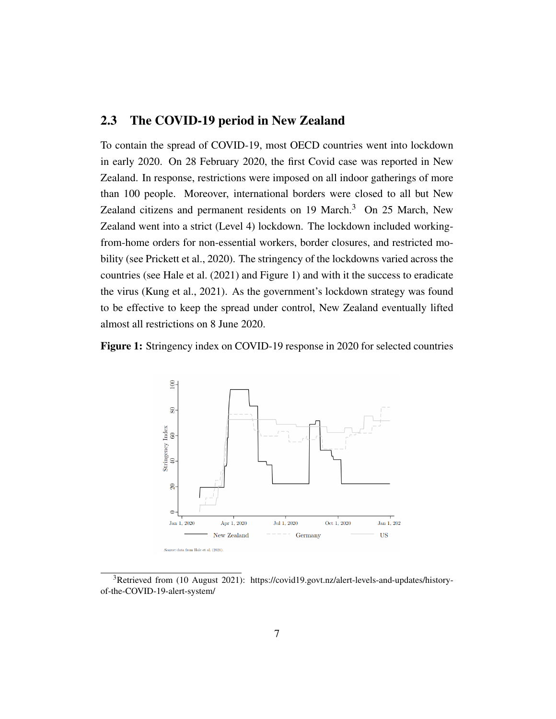### 2.3 The COVID-19 period in New Zealand

To contain the spread of COVID-19, most OECD countries went into lockdown in early 2020. On 28 February 2020, the first Covid case was reported in New Zealand. In response, restrictions were imposed on all indoor gatherings of more than 100 people. Moreover, international borders were closed to all but New Zealand citizens and permanent residents on  $19$  March.<sup>[3](#page-0-0)</sup> On 25 March, New Zealand went into a strict (Level 4) lockdown. The lockdown included workingfrom-home orders for non-essential workers, border closures, and restricted mobility (see [Prickett et al., 2020\)](#page-31-7). The stringency of the lockdowns varied across the countries (see [Hale et al.](#page-29-4) [\(2021\)](#page-29-4) and Figure [1\)](#page-7-0) and with it the success to eradicate the virus [\(Kung et al., 2021\)](#page-30-8). As the government's lockdown strategy was found to be effective to keep the spread under control, New Zealand eventually lifted almost all restrictions on 8 June 2020.

<span id="page-7-0"></span>Figure 1: Stringency index on COVID-19 response in 2020 for selected countries



<sup>3</sup>Retrieved from (10 August 2021): https://covid19.govt.nz/alert-levels-and-updates/historyof-the-COVID-19-alert-system/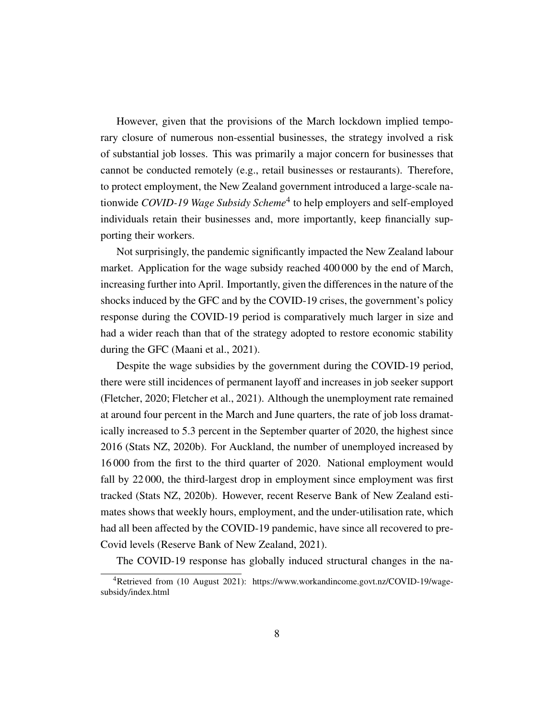However, given that the provisions of the March lockdown implied temporary closure of numerous non-essential businesses, the strategy involved a risk of substantial job losses. This was primarily a major concern for businesses that cannot be conducted remotely (e.g., retail businesses or restaurants). Therefore, to protect employment, the New Zealand government introduced a large-scale nationwide *COVID-19 Wage Subsidy Scheme*[4](#page-0-0) to help employers and self-employed individuals retain their businesses and, more importantly, keep financially supporting their workers.

Not surprisingly, the pandemic significantly impacted the New Zealand labour market. Application for the wage subsidy reached 400 000 by the end of March, increasing further into April. Importantly, given the differences in the nature of the shocks induced by the GFC and by the COVID-19 crises, the government's policy response during the COVID-19 period is comparatively much larger in size and had a wider reach than that of the strategy adopted to restore economic stability during the GFC [\(Maani et al., 2021\)](#page-30-9).

Despite the wage subsidies by the government during the COVID-19 period, there were still incidences of permanent layoff and increases in job seeker support [\(Fletcher, 2020;](#page-29-5) [Fletcher et al., 2021\)](#page-29-6). Although the unemployment rate remained at around four percent in the March and June quarters, the rate of job loss dramatically increased to 5.3 percent in the September quarter of 2020, the highest since 2016 (Stats NZ, 2020b). For Auckland, the number of unemployed increased by 16 000 from the first to the third quarter of 2020. National employment would fall by 22 000, the third-largest drop in employment since employment was first tracked (Stats NZ, 2020b). However, recent Reserve Bank of New Zealand estimates shows that weekly hours, employment, and the under-utilisation rate, which had all been affected by the COVID-19 pandemic, have since all recovered to pre-Covid levels (Reserve Bank of New Zealand, 2021).

The COVID-19 response has globally induced structural changes in the na-

<sup>&</sup>lt;sup>4</sup>Retrieved from (10 August 2021): https://www.workandincome.govt.nz/COVID-19/wagesubsidy/index.html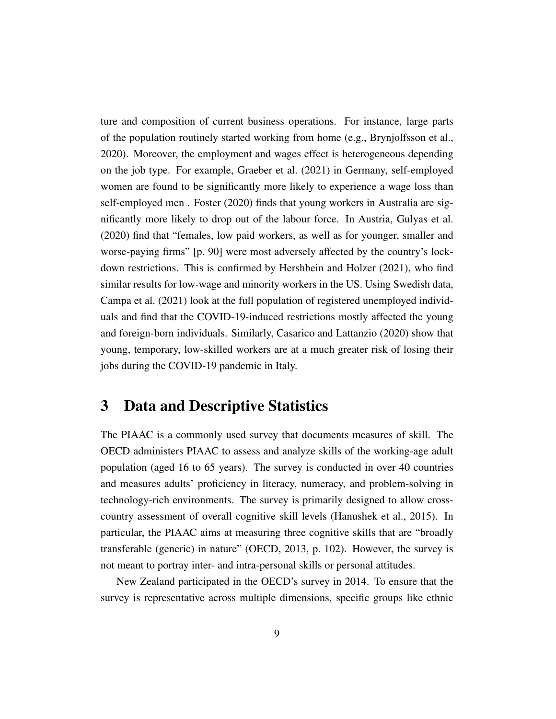ture and composition of current business operations. For instance, large parts of the population routinely started working from home (e.g., [Brynjolfsson et al.,](#page-28-8) [2020\)](#page-28-8). Moreover, the employment and wages effect is heterogeneous depending on the job type. For example, [Graeber et al.](#page-29-7) [\(2021\)](#page-29-7) in Germany, self-employed women are found to be significantly more likely to experience a wage loss than self-employed men . [Foster](#page-29-8) [\(2020\)](#page-29-8) finds that young workers in Australia are significantly more likely to drop out of the labour force. In Austria, [Gulyas et al.](#page-29-9) [\(2020\)](#page-29-9) find that "females, low paid workers, as well as for younger, smaller and worse-paying firms" [p. 90] were most adversely affected by the country's lockdown restrictions. This is confirmed by [Hershbein and Holzer](#page-30-10) [\(2021\)](#page-30-10), who find similar results for low-wage and minority workers in the US. Using Swedish data, [Campa et al.](#page-28-9) [\(2021\)](#page-28-9) look at the full population of registered unemployed individuals and find that the COVID-19-induced restrictions mostly affected the young and foreign-born individuals. Similarly, [Casarico and Lattanzio](#page-28-10) [\(2020\)](#page-28-10) show that young, temporary, low-skilled workers are at a much greater risk of losing their jobs during the COVID-19 pandemic in Italy.

# <span id="page-9-0"></span>3 Data and Descriptive Statistics

The PIAAC is a commonly used survey that documents measures of skill. The OECD administers PIAAC to assess and analyze skills of the working-age adult population (aged 16 to 65 years). The survey is conducted in over 40 countries and measures adults' proficiency in literacy, numeracy, and problem-solving in technology-rich environments. The survey is primarily designed to allow crosscountry assessment of overall cognitive skill levels [\(Hanushek et al., 2015\)](#page-29-0). In particular, the PIAAC aims at measuring three cognitive skills that are "broadly transferable (generic) in nature" [\(OECD, 2013,](#page-31-2) p. 102). However, the survey is not meant to portray inter- and intra-personal skills or personal attitudes.

New Zealand participated in the OECD's survey in 2014. To ensure that the survey is representative across multiple dimensions, specific groups like ethnic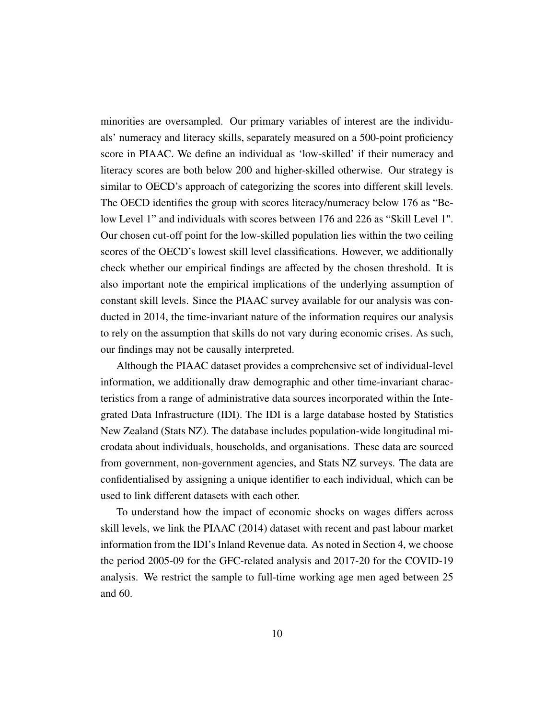minorities are oversampled. Our primary variables of interest are the individuals' numeracy and literacy skills, separately measured on a 500-point proficiency score in PIAAC. We define an individual as 'low-skilled' if their numeracy and literacy scores are both below 200 and higher-skilled otherwise. Our strategy is similar to OECD's approach of categorizing the scores into different skill levels. The OECD identifies the group with scores literacy/numeracy below 176 as "Below Level 1" and individuals with scores between 176 and 226 as "Skill Level 1". Our chosen cut-off point for the low-skilled population lies within the two ceiling scores of the OECD's lowest skill level classifications. However, we additionally check whether our empirical findings are affected by the chosen threshold. It is also important note the empirical implications of the underlying assumption of constant skill levels. Since the PIAAC survey available for our analysis was conducted in 2014, the time-invariant nature of the information requires our analysis to rely on the assumption that skills do not vary during economic crises. As such, our findings may not be causally interpreted.

Although the PIAAC dataset provides a comprehensive set of individual-level information, we additionally draw demographic and other time-invariant characteristics from a range of administrative data sources incorporated within the Integrated Data Infrastructure (IDI). The IDI is a large database hosted by Statistics New Zealand (Stats NZ). The database includes population-wide longitudinal microdata about individuals, households, and organisations. These data are sourced from government, non-government agencies, and Stats NZ surveys. The data are confidentialised by assigning a unique identifier to each individual, which can be used to link different datasets with each other.

To understand how the impact of economic shocks on wages differs across skill levels, we link the PIAAC (2014) dataset with recent and past labour market information from the IDI's Inland Revenue data. As noted in Section [4,](#page-13-0) we choose the period 2005-09 for the GFC-related analysis and 2017-20 for the COVID-19 analysis. We restrict the sample to full-time working age men aged between 25 and 60.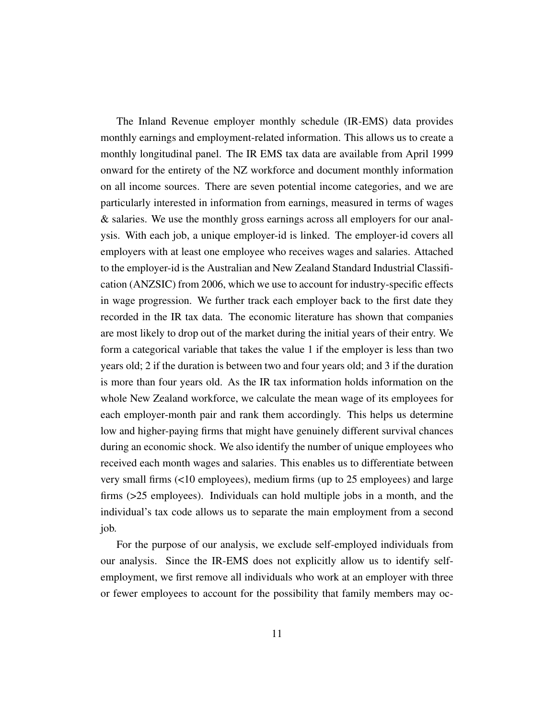The Inland Revenue employer monthly schedule (IR-EMS) data provides monthly earnings and employment-related information. This allows us to create a monthly longitudinal panel. The IR EMS tax data are available from April 1999 onward for the entirety of the NZ workforce and document monthly information on all income sources. There are seven potential income categories, and we are particularly interested in information from earnings, measured in terms of wages & salaries. We use the monthly gross earnings across all employers for our analysis. With each job, a unique employer-id is linked. The employer-id covers all employers with at least one employee who receives wages and salaries. Attached to the employer-id is the Australian and New Zealand Standard Industrial Classification (ANZSIC) from 2006, which we use to account for industry-specific effects in wage progression. We further track each employer back to the first date they recorded in the IR tax data. The economic literature has shown that companies are most likely to drop out of the market during the initial years of their entry. We form a categorical variable that takes the value 1 if the employer is less than two years old; 2 if the duration is between two and four years old; and 3 if the duration is more than four years old. As the IR tax information holds information on the whole New Zealand workforce, we calculate the mean wage of its employees for each employer-month pair and rank them accordingly. This helps us determine low and higher-paying firms that might have genuinely different survival chances during an economic shock. We also identify the number of unique employees who received each month wages and salaries. This enables us to differentiate between very small firms (<10 employees), medium firms (up to 25 employees) and large firms (>25 employees). Individuals can hold multiple jobs in a month, and the individual's tax code allows us to separate the main employment from a second job.

For the purpose of our analysis, we exclude self-employed individuals from our analysis. Since the IR-EMS does not explicitly allow us to identify selfemployment, we first remove all individuals who work at an employer with three or fewer employees to account for the possibility that family members may oc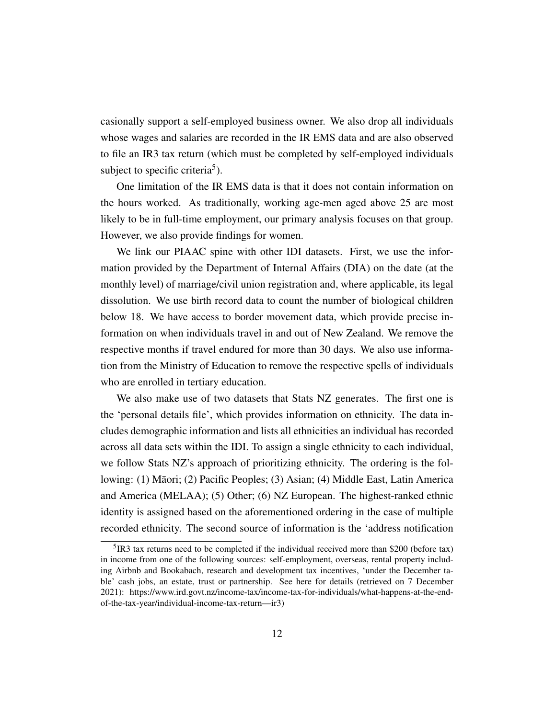casionally support a self-employed business owner. We also drop all individuals whose wages and salaries are recorded in the IR EMS data and are also observed to file an IR3 tax return (which must be completed by self-employed individuals subject to specific criteria<sup>[5](#page-0-0)</sup>).

One limitation of the IR EMS data is that it does not contain information on the hours worked. As traditionally, working age-men aged above 25 are most likely to be in full-time employment, our primary analysis focuses on that group. However, we also provide findings for women.

We link our PIAAC spine with other IDI datasets. First, we use the information provided by the Department of Internal Affairs (DIA) on the date (at the monthly level) of marriage/civil union registration and, where applicable, its legal dissolution. We use birth record data to count the number of biological children below 18. We have access to border movement data, which provide precise information on when individuals travel in and out of New Zealand. We remove the respective months if travel endured for more than 30 days. We also use information from the Ministry of Education to remove the respective spells of individuals who are enrolled in tertiary education.

We also make use of two datasets that Stats NZ generates. The first one is the 'personal details file', which provides information on ethnicity. The data includes demographic information and lists all ethnicities an individual has recorded across all data sets within the IDI. To assign a single ethnicity to each individual, we follow Stats NZ's approach of prioritizing ethnicity. The ordering is the following: (1) Maori; (2) Pacific Peoples; (3) Asian; (4) Middle East, Latin America ¯ and America (MELAA); (5) Other; (6) NZ European. The highest-ranked ethnic identity is assigned based on the aforementioned ordering in the case of multiple recorded ethnicity. The second source of information is the 'address notification

 $5$  IR3 tax returns need to be completed if the individual received more than \$200 (before tax) in income from one of the following sources: self-employment, overseas, rental property including Airbnb and Bookabach, research and development tax incentives, 'under the December table' cash jobs, an estate, trust or partnership. See here for details (retrieved on 7 December 2021): https://www.ird.govt.nz/income-tax/income-tax-for-individuals/what-happens-at-the-endof-the-tax-year/individual-income-tax-return—ir3)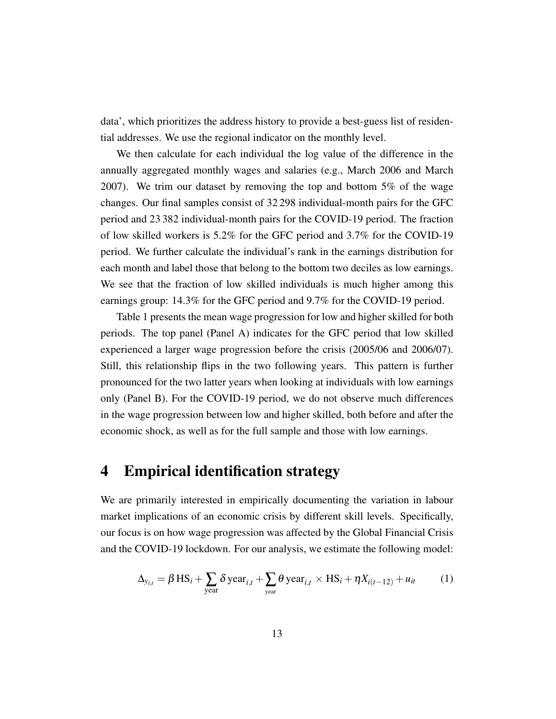data', which prioritizes the address history to provide a best-guess list of residential addresses. We use the regional indicator on the monthly level.

We then calculate for each individual the log value of the difference in the annually aggregated monthly wages and salaries (e.g., March 2006 and March 2007). We trim our dataset by removing the top and bottom 5% of the wage changes. Our final samples consist of 32 298 individual-month pairs for the GFC period and 23 382 individual-month pairs for the COVID-19 period. The fraction of low skilled workers is 5.2% for the GFC period and 3.7% for the COVID-19 period. We further calculate the individual's rank in the earnings distribution for each month and label those that belong to the bottom two deciles as low earnings. We see that the fraction of low skilled individuals is much higher among this earnings group: 14.3% for the GFC period and 9.7% for the COVID-19 period.

Table [1](#page-14-0) presents the mean wage progression for low and higher skilled for both periods. The top panel (Panel A) indicates for the GFC period that low skilled experienced a larger wage progression before the crisis (2005/06 and 2006/07). Still, this relationship flips in the two following years. This pattern is further pronounced for the two latter years when looking at individuals with low earnings only (Panel B). For the COVID-19 period, we do not observe much differences in the wage progression between low and higher skilled, both before and after the economic shock, as well as for the full sample and those with low earnings.

# <span id="page-13-0"></span>4 Empirical identification strategy

We are primarily interested in empirically documenting the variation in labour market implications of an economic crisis by different skill levels. Specifically, our focus is on how wage progression was affected by the Global Financial Crisis and the COVID-19 lockdown. For our analysis, we estimate the following model:

$$
\Delta_{y_{i,t}} = \beta \operatorname{HS}_{i} + \sum_{\text{year}} \delta \operatorname{year}_{i,t} + \sum_{\text{year}} \theta \operatorname{year}_{i,t} \times \operatorname{HS}_{i} + \eta X_{i(t-12)} + u_{it} \tag{1}
$$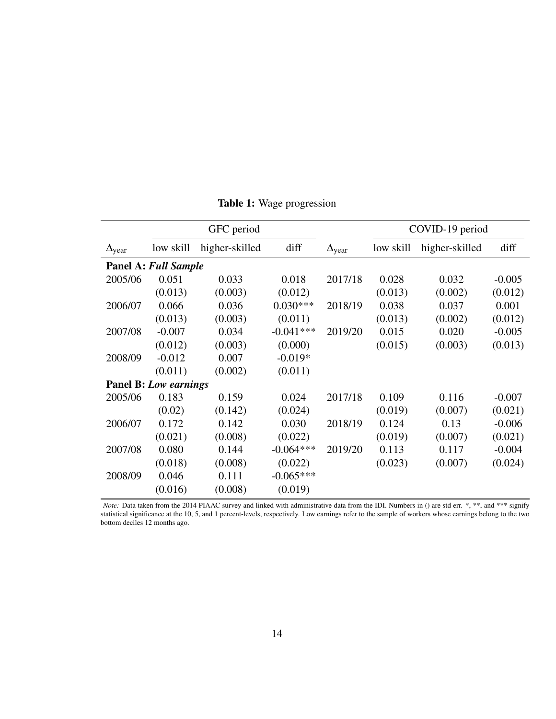<span id="page-14-0"></span>

|                        |                              | GFC period     |             |                        | COVID-19 period |                |          |  |
|------------------------|------------------------------|----------------|-------------|------------------------|-----------------|----------------|----------|--|
| $\Delta_{\text{year}}$ | low skill                    | higher-skilled | diff        | $\Delta_{\text{year}}$ | low skill       | higher-skilled | diff     |  |
|                        | <b>Panel A: Full Sample</b>  |                |             |                        |                 |                |          |  |
| 2005/06                | 0.051                        | 0.033          | 0.018       | 2017/18                | 0.028           | 0.032          | $-0.005$ |  |
|                        | (0.013)                      | (0.003)        | (0.012)     |                        | (0.013)         | (0.002)        | (0.012)  |  |
| 2006/07                | 0.066                        | 0.036          | $0.030***$  | 2018/19                | 0.038           | 0.037          | 0.001    |  |
|                        | (0.013)                      | (0.003)        | (0.011)     |                        | (0.013)         | (0.002)        | (0.012)  |  |
| 2007/08                | $-0.007$                     | 0.034          | $-0.041***$ | 2019/20                | 0.015           | 0.020          | $-0.005$ |  |
|                        | (0.012)                      | (0.003)        | (0.000)     |                        | (0.015)         | (0.003)        | (0.013)  |  |
| 2008/09                | $-0.012$                     | 0.007          | $-0.019*$   |                        |                 |                |          |  |
|                        | (0.011)                      | (0.002)        | (0.011)     |                        |                 |                |          |  |
|                        | <b>Panel B:</b> Low earnings |                |             |                        |                 |                |          |  |
| 2005/06                | 0.183                        | 0.159          | 0.024       | 2017/18                | 0.109           | 0.116          | $-0.007$ |  |
|                        | (0.02)                       | (0.142)        | (0.024)     |                        | (0.019)         | (0.007)        | (0.021)  |  |
| 2006/07                | 0.172                        | 0.142          | 0.030       | 2018/19                | 0.124           | 0.13           | $-0.006$ |  |
|                        | (0.021)                      | (0.008)        | (0.022)     |                        | (0.019)         | (0.007)        | (0.021)  |  |
| 2007/08                | 0.080                        | 0.144          | $-0.064***$ | 2019/20                | 0.113           | 0.117          | $-0.004$ |  |
|                        | (0.018)                      | (0.008)        | (0.022)     |                        | (0.023)         | (0.007)        | (0.024)  |  |
| 2008/09                | 0.046                        | 0.111          | $-0.065***$ |                        |                 |                |          |  |
|                        | (0.016)                      | (0.008)        | (0.019)     |                        |                 |                |          |  |

Table 1: Wage progression

*Note:* Data taken from the 2014 PIAAC survey and linked with administrative data from the IDI. Numbers in () are std err. \*, \*\*, and \*\*\* signify statistical significance at the 10, 5, and 1 percent-levels, respectively. Low earnings refer to the sample of workers whose earnings belong to the two bottom deciles 12 months ago.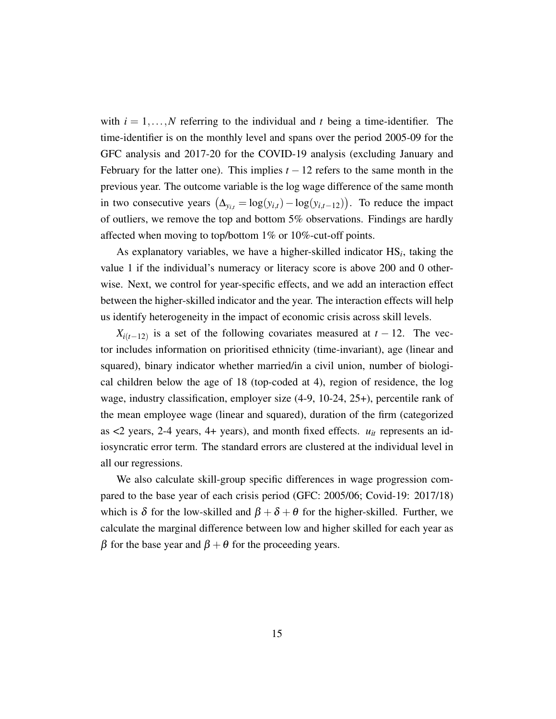with  $i = 1, \ldots, N$  referring to the individual and *t* being a time-identifier. The time-identifier is on the monthly level and spans over the period 2005-09 for the GFC analysis and 2017-20 for the COVID-19 analysis (excluding January and February for the latter one). This implies  $t - 12$  refers to the same month in the previous year. The outcome variable is the log wage difference of the same month in two consecutive years  $(\Delta_{y_{i,t}} = \log(y_{i,t}) - \log(y_{i,t-12}))$ . To reduce the impact of outliers, we remove the top and bottom 5% observations. Findings are hardly affected when moving to top/bottom 1% or 10%-cut-off points.

As explanatory variables, we have a higher-skilled indicator HS*<sup>i</sup>* , taking the value 1 if the individual's numeracy or literacy score is above 200 and 0 otherwise. Next, we control for year-specific effects, and we add an interaction effect between the higher-skilled indicator and the year. The interaction effects will help us identify heterogeneity in the impact of economic crisis across skill levels.

 $X_{i(t-12)}$  is a set of the following covariates measured at  $t-12$ . The vector includes information on prioritised ethnicity (time-invariant), age (linear and squared), binary indicator whether married/in a civil union, number of biological children below the age of 18 (top-coded at 4), region of residence, the log wage, industry classification, employer size (4-9, 10-24, 25+), percentile rank of the mean employee wage (linear and squared), duration of the firm (categorized as  $<$ 2 years, 2-4 years, 4+ years), and month fixed effects.  $u_{it}$  represents an idiosyncratic error term. The standard errors are clustered at the individual level in all our regressions.

We also calculate skill-group specific differences in wage progression compared to the base year of each crisis period (GFC: 2005/06; Covid-19: 2017/18) which is  $\delta$  for the low-skilled and  $\beta + \delta + \theta$  for the higher-skilled. Further, we calculate the marginal difference between low and higher skilled for each year as β for the base year and  $β + θ$  for the proceeding years.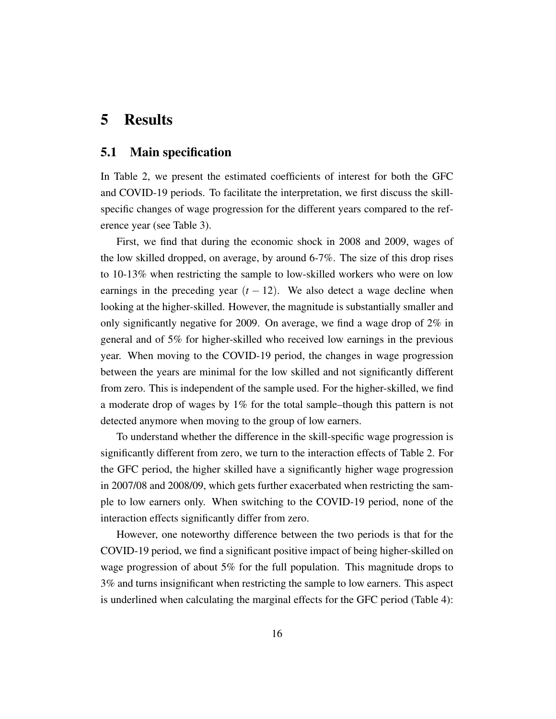## <span id="page-16-0"></span>5 Results

#### 5.1 Main specification

In Table [2,](#page-17-0) we present the estimated coefficients of interest for both the GFC and COVID-19 periods. To facilitate the interpretation, we first discuss the skillspecific changes of wage progression for the different years compared to the reference year (see Table [3\)](#page-18-0).

First, we find that during the economic shock in 2008 and 2009, wages of the low skilled dropped, on average, by around 6-7%. The size of this drop rises to 10-13% when restricting the sample to low-skilled workers who were on low earnings in the preceding year  $(t - 12)$ . We also detect a wage decline when looking at the higher-skilled. However, the magnitude is substantially smaller and only significantly negative for 2009. On average, we find a wage drop of 2% in general and of 5% for higher-skilled who received low earnings in the previous year. When moving to the COVID-19 period, the changes in wage progression between the years are minimal for the low skilled and not significantly different from zero. This is independent of the sample used. For the higher-skilled, we find a moderate drop of wages by 1% for the total sample–though this pattern is not detected anymore when moving to the group of low earners.

To understand whether the difference in the skill-specific wage progression is significantly different from zero, we turn to the interaction effects of Table [2.](#page-17-0) For the GFC period, the higher skilled have a significantly higher wage progression in 2007/08 and 2008/09, which gets further exacerbated when restricting the sample to low earners only. When switching to the COVID-19 period, none of the interaction effects significantly differ from zero.

However, one noteworthy difference between the two periods is that for the COVID-19 period, we find a significant positive impact of being higher-skilled on wage progression of about 5% for the full population. This magnitude drops to 3% and turns insignificant when restricting the sample to low earners. This aspect is underlined when calculating the marginal effects for the GFC period (Table [4\)](#page-19-0):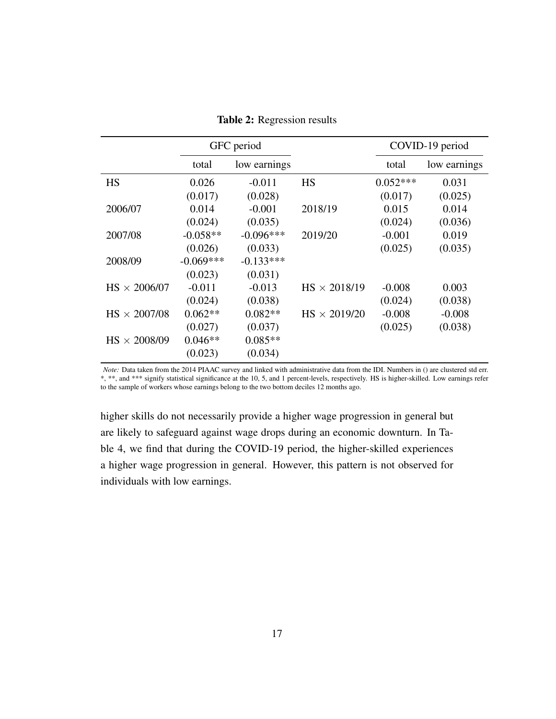<span id="page-17-0"></span>

|                     |             | GFC period   |                     | COVID-19 period |              |
|---------------------|-------------|--------------|---------------------|-----------------|--------------|
|                     | total       | low earnings |                     | total           | low earnings |
| <b>HS</b>           | 0.026       | $-0.011$     | <b>HS</b>           | $0.052***$      | 0.031        |
|                     | (0.017)     | (0.028)      |                     | (0.017)         | (0.025)      |
| 2006/07             | 0.014       | $-0.001$     | 2018/19             | 0.015           | 0.014        |
|                     | (0.024)     | (0.035)      |                     | (0.024)         | (0.036)      |
| 2007/08             | $-0.058**$  | $-0.096***$  | 2019/20             | $-0.001$        | 0.019        |
|                     | (0.026)     | (0.033)      |                     | (0.025)         | (0.035)      |
| 2008/09             | $-0.069***$ | $-0.133***$  |                     |                 |              |
|                     | (0.023)     | (0.031)      |                     |                 |              |
| $HS \times 2006/07$ | $-0.011$    | $-0.013$     | $HS \times 2018/19$ | $-0.008$        | 0.003        |
|                     | (0.024)     | (0.038)      |                     | (0.024)         | (0.038)      |
| $HS \times 2007/08$ | $0.062**$   | $0.082**$    | $HS \times 2019/20$ | $-0.008$        | $-0.008$     |
|                     | (0.027)     | (0.037)      |                     | (0.025)         | (0.038)      |
| $HS \times 2008/09$ | $0.046**$   | $0.085**$    |                     |                 |              |
|                     | (0.023)     | (0.034)      |                     |                 |              |

Table 2: Regression results

*Note:* Data taken from the 2014 PIAAC survey and linked with administrative data from the IDI. Numbers in () are clustered std err. \*, \*\*, and \*\*\* signify statistical significance at the 10, 5, and 1 percent-levels, respectively. HS is higher-skilled. Low earnings refer to the sample of workers whose earnings belong to the two bottom deciles 12 months ago.

higher skills do not necessarily provide a higher wage progression in general but are likely to safeguard against wage drops during an economic downturn. In Table [4,](#page-19-0) we find that during the COVID-19 period, the higher-skilled experiences a higher wage progression in general. However, this pattern is not observed for individuals with low earnings.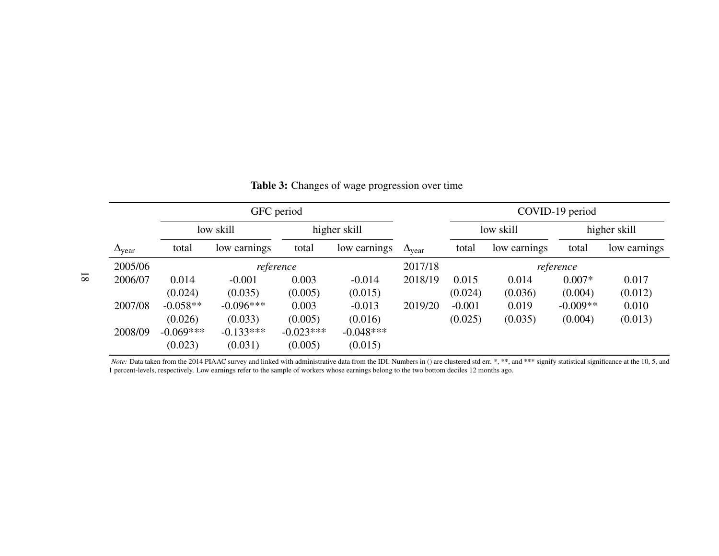| GFC period             |             |              |             |              |                        |           | COVID-19 period |              |              |  |
|------------------------|-------------|--------------|-------------|--------------|------------------------|-----------|-----------------|--------------|--------------|--|
|                        |             | low skill    |             | higher skill |                        | low skill |                 | higher skill |              |  |
| $\Delta_{\text{year}}$ | total       | low earnings | total       | low earnings | $\Delta_{\text{year}}$ | total     | low earnings    | total        | low earnings |  |
| 2005/06                |             | reference    |             |              |                        |           | reference       |              |              |  |
| 2006/07                | 0.014       | $-0.001$     | 0.003       | $-0.014$     | 2018/19                | 0.015     | 0.014           | $0.007*$     | 0.017        |  |
|                        | (0.024)     | (0.035)      | (0.005)     | (0.015)      |                        | (0.024)   | (0.036)         | (0.004)      | (0.012)      |  |
| 2007/08                | $-0.058**$  | $-0.096***$  | 0.003       | $-0.013$     | 2019/20                | $-0.001$  | 0.019           | $-0.009**$   | 0.010        |  |
|                        | (0.026)     | (0.033)      | (0.005)     | (0.016)      |                        | (0.025)   | (0.035)         | (0.004)      | (0.013)      |  |
| 2008/09                | $-0.069***$ | $-0.133***$  | $-0.023***$ | $-0.048***$  |                        |           |                 |              |              |  |
|                        | (0.023)     | (0.031)      | (0.005)     | (0.015)      |                        |           |                 |              |              |  |

<span id="page-18-0"></span>Table 3: Changes of wage progression over time

*Note:* Data taken from the 2014 PIAAC survey and linked with administrative data from the IDI. Numbers in () are clustered std err. \*, \*\*, and \*\*\* signify statistical significance at the 10, 5, and 1 percent-levels, respectively. Low earnings refer to the sample of workers whose earnings belong to the two bottom deciles 12 months ago.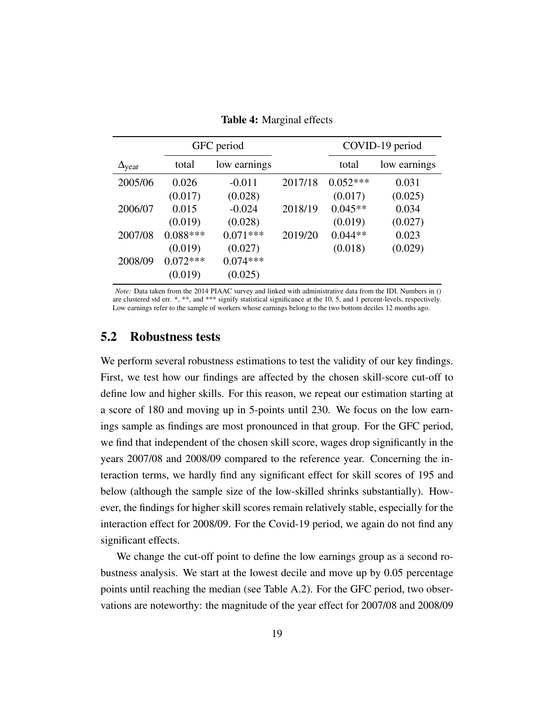<span id="page-19-0"></span>

|                        |            | GFC period   |         | COVID-19 period |              |  |
|------------------------|------------|--------------|---------|-----------------|--------------|--|
| $\Delta_{\text{year}}$ | total      | low earnings |         | total           | low earnings |  |
| 2005/06                | 0.026      | $-0.011$     | 2017/18 | $0.052***$      | 0.031        |  |
|                        | (0.017)    | (0.028)      |         | (0.017)         | (0.025)      |  |
| 2006/07                | 0.015      | $-0.024$     | 2018/19 | $0.045**$       | 0.034        |  |
|                        | (0.019)    | (0.028)      |         | (0.019)         | (0.027)      |  |
| 2007/08                | $0.088***$ | $0.071***$   | 2019/20 | $0.044**$       | 0.023        |  |
|                        | (0.019)    | (0.027)      |         | (0.018)         | (0.029)      |  |
| 2008/09                | $0.072***$ | $0.074***$   |         |                 |              |  |
|                        | (0.019)    | (0.025)      |         |                 |              |  |

Table 4: Marginal effects

*Note:* Data taken from the 2014 PIAAC survey and linked with administrative data from the IDI. Numbers in () are clustered std err. \*, \*\*, and \*\*\* signify statistical significance at the 10, 5, and 1 percent-levels, respectively. Low earnings refer to the sample of workers whose earnings belong to the two bottom deciles 12 months ago.

#### 5.2 Robustness tests

We perform several robustness estimations to test the validity of our key findings. First, we test how our findings are affected by the chosen skill-score cut-off to define low and higher skills. For this reason, we repeat our estimation starting at a score of 180 and moving up in 5-points until 230. We focus on the low earnings sample as findings are most pronounced in that group. For the GFC period, we find that independent of the chosen skill score, wages drop significantly in the years 2007/08 and 2008/09 compared to the reference year. Concerning the interaction terms, we hardly find any significant effect for skill scores of 195 and below (although the sample size of the low-skilled shrinks substantially). However, the findings for higher skill scores remain relatively stable, especially for the interaction effect for 2008/09. For the Covid-19 period, we again do not find any significant effects.

We change the cut-off point to define the low earnings group as a second robustness analysis. We start at the lowest decile and move up by 0.05 percentage points until reaching the median (see Table [A.2\)](#page-34-0). For the GFC period, two observations are noteworthy: the magnitude of the year effect for 2007/08 and 2008/09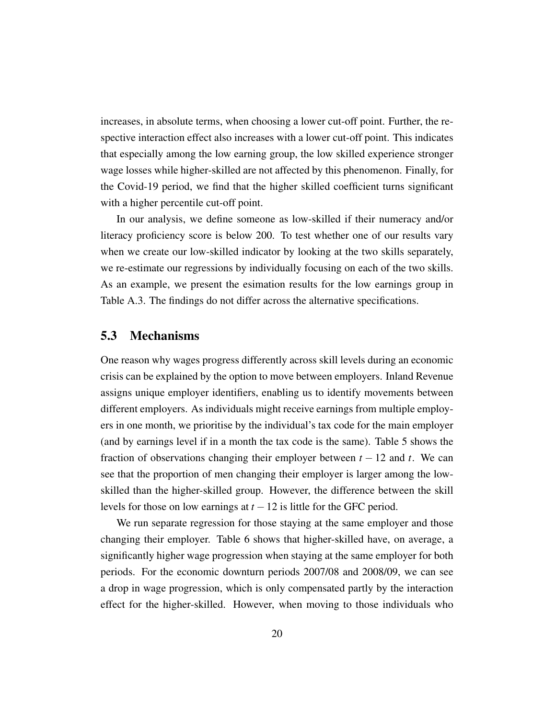increases, in absolute terms, when choosing a lower cut-off point. Further, the respective interaction effect also increases with a lower cut-off point. This indicates that especially among the low earning group, the low skilled experience stronger wage losses while higher-skilled are not affected by this phenomenon. Finally, for the Covid-19 period, we find that the higher skilled coefficient turns significant with a higher percentile cut-off point.

In our analysis, we define someone as low-skilled if their numeracy and/or literacy proficiency score is below 200. To test whether one of our results vary when we create our low-skilled indicator by looking at the two skills separately, we re-estimate our regressions by individually focusing on each of the two skills. As an example, we present the esimation results for the low earnings group in Table [A.3.](#page-35-0) The findings do not differ across the alternative specifications.

#### 5.3 Mechanisms

One reason why wages progress differently across skill levels during an economic crisis can be explained by the option to move between employers. Inland Revenue assigns unique employer identifiers, enabling us to identify movements between different employers. As individuals might receive earnings from multiple employers in one month, we prioritise by the individual's tax code for the main employer (and by earnings level if in a month the tax code is the same). Table [5](#page-21-0) shows the fraction of observations changing their employer between  $t - 12$  and  $t$ . We can see that the proportion of men changing their employer is larger among the lowskilled than the higher-skilled group. However, the difference between the skill levels for those on low earnings at  $t - 12$  is little for the GFC period.

We run separate regression for those staying at the same employer and those changing their employer. Table [6](#page-22-0) shows that higher-skilled have, on average, a significantly higher wage progression when staying at the same employer for both periods. For the economic downturn periods 2007/08 and 2008/09, we can see a drop in wage progression, which is only compensated partly by the interaction effect for the higher-skilled. However, when moving to those individuals who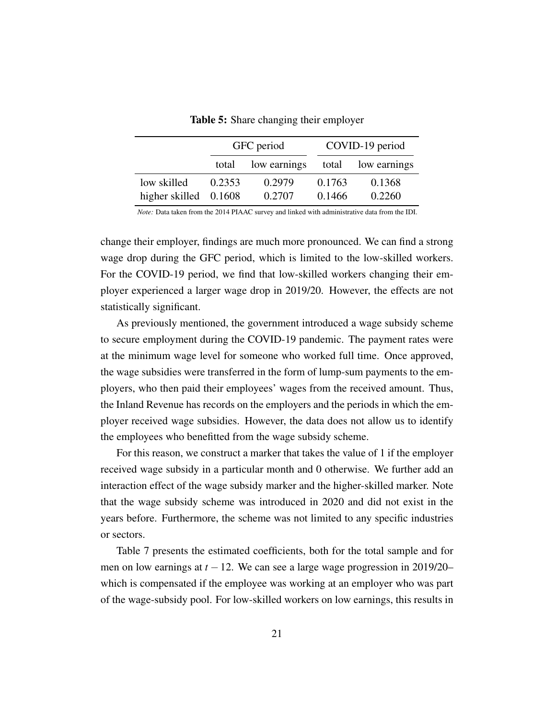<span id="page-21-0"></span>

|                         |                       | GFC period |        | COVID-19 period |
|-------------------------|-----------------------|------------|--------|-----------------|
|                         | low earnings<br>total |            | total  | low earnings    |
| low skilled             | 0.2353                | 0.2979     | 0.1763 | 0.1368          |
| higher skilled $0.1608$ |                       | 0.2707     | 0.1466 | 0.2260          |

Table 5: Share changing their employer

*Note:* Data taken from the 2014 PIAAC survey and linked with administrative data from the IDI.

change their employer, findings are much more pronounced. We can find a strong wage drop during the GFC period, which is limited to the low-skilled workers. For the COVID-19 period, we find that low-skilled workers changing their employer experienced a larger wage drop in 2019/20. However, the effects are not statistically significant.

As previously mentioned, the government introduced a wage subsidy scheme to secure employment during the COVID-19 pandemic. The payment rates were at the minimum wage level for someone who worked full time. Once approved, the wage subsidies were transferred in the form of lump-sum payments to the employers, who then paid their employees' wages from the received amount. Thus, the Inland Revenue has records on the employers and the periods in which the employer received wage subsidies. However, the data does not allow us to identify the employees who benefitted from the wage subsidy scheme.

For this reason, we construct a marker that takes the value of 1 if the employer received wage subsidy in a particular month and 0 otherwise. We further add an interaction effect of the wage subsidy marker and the higher-skilled marker. Note that the wage subsidy scheme was introduced in 2020 and did not exist in the years before. Furthermore, the scheme was not limited to any specific industries or sectors.

Table [7](#page-23-0) presents the estimated coefficients, both for the total sample and for men on low earnings at *t* −12. We can see a large wage progression in 2019/20– which is compensated if the employee was working at an employer who was part of the wage-subsidy pool. For low-skilled workers on low earnings, this results in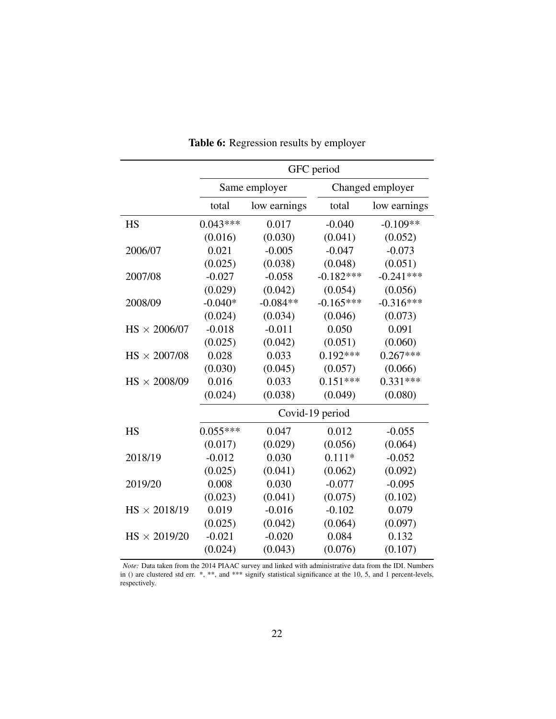<span id="page-22-0"></span>

|                     | GFC period |               |                 |                  |  |  |  |  |
|---------------------|------------|---------------|-----------------|------------------|--|--|--|--|
|                     |            | Same employer |                 | Changed employer |  |  |  |  |
|                     | total      | low earnings  | total           | low earnings     |  |  |  |  |
| <b>HS</b>           | $0.043***$ | 0.017         | $-0.040$        | $-0.109**$       |  |  |  |  |
|                     | (0.016)    | (0.030)       | (0.041)         | (0.052)          |  |  |  |  |
| 2006/07             | 0.021      | $-0.005$      | $-0.047$        | $-0.073$         |  |  |  |  |
|                     | (0.025)    | (0.038)       | (0.048)         | (0.051)          |  |  |  |  |
| 2007/08             | $-0.027$   | $-0.058$      | $-0.182***$     | $-0.241***$      |  |  |  |  |
|                     | (0.029)    | (0.042)       | (0.054)         | (0.056)          |  |  |  |  |
| 2008/09             | $-0.040*$  | $-0.084**$    | $-0.165***$     | $-0.316***$      |  |  |  |  |
|                     | (0.024)    | (0.034)       | (0.046)         | (0.073)          |  |  |  |  |
| $HS \times 2006/07$ | $-0.018$   | $-0.011$      | 0.050           | 0.091            |  |  |  |  |
|                     | (0.025)    | (0.042)       | (0.051)         | (0.060)          |  |  |  |  |
| $HS \times 2007/08$ | 0.028      | 0.033         | $0.192***$      | $0.267***$       |  |  |  |  |
|                     | (0.030)    | (0.045)       | (0.057)         | (0.066)          |  |  |  |  |
| $HS \times 2008/09$ | 0.016      | 0.033         | $0.151***$      | $0.331***$       |  |  |  |  |
|                     | (0.024)    | (0.038)       | (0.049)         | (0.080)          |  |  |  |  |
|                     |            |               | Covid-19 period |                  |  |  |  |  |
| <b>HS</b>           | $0.055***$ | 0.047         | 0.012           | $-0.055$         |  |  |  |  |
|                     | (0.017)    | (0.029)       | (0.056)         | (0.064)          |  |  |  |  |
| 2018/19             | $-0.012$   | 0.030         | $0.111*$        | $-0.052$         |  |  |  |  |
|                     | (0.025)    | (0.041)       | (0.062)         | (0.092)          |  |  |  |  |
| 2019/20             | 0.008      | 0.030         | $-0.077$        | $-0.095$         |  |  |  |  |
|                     | (0.023)    | (0.041)       | (0.075)         | (0.102)          |  |  |  |  |
| $HS \times 2018/19$ | 0.019      | $-0.016$      | $-0.102$        | 0.079            |  |  |  |  |
|                     | (0.025)    | (0.042)       | (0.064)         | (0.097)          |  |  |  |  |
| $HS \times 2019/20$ | $-0.021$   | $-0.020$      | 0.084           | 0.132            |  |  |  |  |
|                     | (0.024)    | (0.043)       | (0.076)         | (0.107)          |  |  |  |  |

Table 6: Regression results by employer

*Note:* Data taken from the 2014 PIAAC survey and linked with administrative data from the IDI. Numbers in () are clustered std err. \*, \*\*, and \*\*\* signify statistical significance at the 10, 5, and 1 percent-levels, respectively.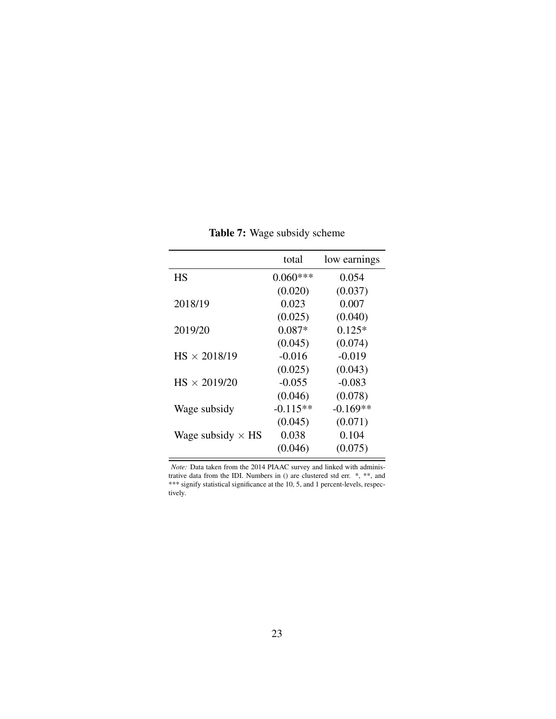<span id="page-23-0"></span>

|                          | total      | low earnings |
|--------------------------|------------|--------------|
| HS                       | $0.060***$ | 0.054        |
|                          | (0.020)    | (0.037)      |
| 2018/19                  | 0.023      | 0.007        |
|                          | (0.025)    | (0.040)      |
| 2019/20                  | 0.087*     | $0.125*$     |
|                          | (0.045)    | (0.074)      |
| $HS \times 2018/19$      | $-0.016$   | $-0.019$     |
|                          | (0.025)    | (0.043)      |
| $HS \times 2019/20$      | $-0.055$   | $-0.083$     |
|                          | (0.046)    | (0.078)      |
| Wage subsidy             | $-0.115**$ | $-0.169**$   |
|                          | (0.045)    | (0.071)      |
| Wage subsidy $\times$ HS | 0.038      | 0.104        |
|                          | (0.046)    | (0.075)      |

Table 7: Wage subsidy scheme

*Note:* Data taken from the 2014 PIAAC survey and linked with administrative data from the IDI. Numbers in () are clustered std err. \*, \*\*, and \*\*\* signify statistical significance at the 10, 5, and 1 percent-levels, respectively.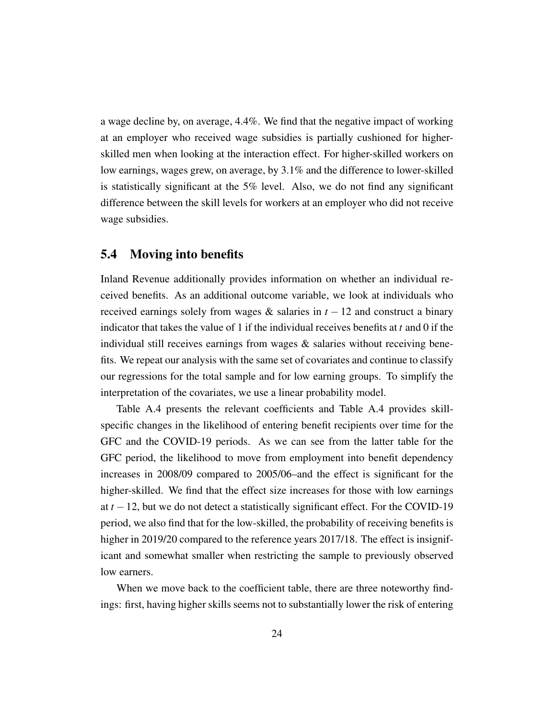a wage decline by, on average, 4.4%. We find that the negative impact of working at an employer who received wage subsidies is partially cushioned for higherskilled men when looking at the interaction effect. For higher-skilled workers on low earnings, wages grew, on average, by 3.1% and the difference to lower-skilled is statistically significant at the 5% level. Also, we do not find any significant difference between the skill levels for workers at an employer who did not receive wage subsidies.

#### 5.4 Moving into benefits

Inland Revenue additionally provides information on whether an individual received benefits. As an additional outcome variable, we look at individuals who received earnings solely from wages  $\&$  salaries in  $t - 12$  and construct a binary indicator that takes the value of 1 if the individual receives benefits at *t* and 0 if the individual still receives earnings from wages  $\&$  salaries without receiving benefits. We repeat our analysis with the same set of covariates and continue to classify our regressions for the total sample and for low earning groups. To simplify the interpretation of the covariates, we use a linear probability model.

Table [A.4](#page-36-0) presents the relevant coefficients and Table [A.4](#page-36-0) provides skillspecific changes in the likelihood of entering benefit recipients over time for the GFC and the COVID-19 periods. As we can see from the latter table for the GFC period, the likelihood to move from employment into benefit dependency increases in 2008/09 compared to 2005/06–and the effect is significant for the higher-skilled. We find that the effect size increases for those with low earnings at *t* −12, but we do not detect a statistically significant effect. For the COVID-19 period, we also find that for the low-skilled, the probability of receiving benefits is higher in 2019/20 compared to the reference years 2017/18. The effect is insignificant and somewhat smaller when restricting the sample to previously observed low earners.

When we move back to the coefficient table, there are three noteworthy findings: first, having higher skills seems not to substantially lower the risk of entering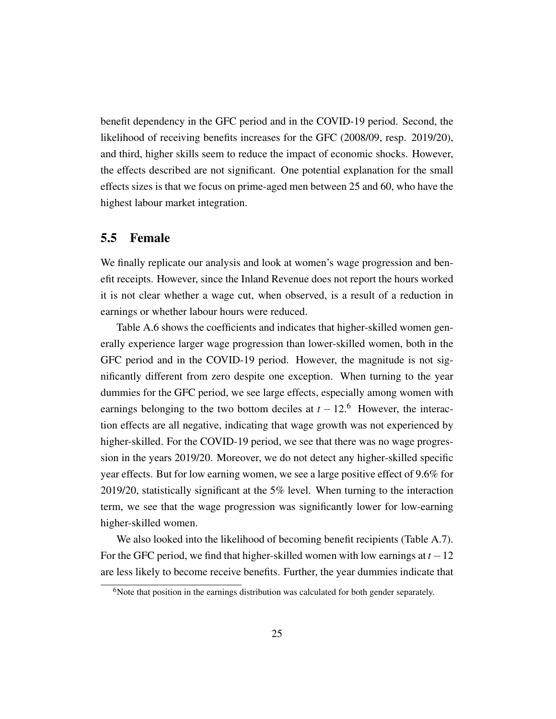benefit dependency in the GFC period and in the COVID-19 period. Second, the likelihood of receiving benefits increases for the GFC (2008/09, resp. 2019/20), and third, higher skills seem to reduce the impact of economic shocks. However, the effects described are not significant. One potential explanation for the small effects sizes is that we focus on prime-aged men between 25 and 60, who have the highest labour market integration.

#### 5.5 Female

We finally replicate our analysis and look at women's wage progression and benefit receipts. However, since the Inland Revenue does not report the hours worked it is not clear whether a wage cut, when observed, is a result of a reduction in earnings or whether labour hours were reduced.

Table [A.6](#page-38-0) shows the coefficients and indicates that higher-skilled women generally experience larger wage progression than lower-skilled women, both in the GFC period and in the COVID-19 period. However, the magnitude is not significantly different from zero despite one exception. When turning to the year dummies for the GFC period, we see large effects, especially among women with earnings belonging to the two bottom deciles at  $t - 12$ .<sup>[6](#page-0-0)</sup> However, the interaction effects are all negative, indicating that wage growth was not experienced by higher-skilled. For the COVID-19 period, we see that there was no wage progression in the years 2019/20. Moreover, we do not detect any higher-skilled specific year effects. But for low earning women, we see a large positive effect of 9.6% for 2019/20, statistically significant at the 5% level. When turning to the interaction term, we see that the wage progression was significantly lower for low-earning higher-skilled women.

We also looked into the likelihood of becoming benefit recipients (Table [A.7\)](#page-39-0). For the GFC period, we find that higher-skilled women with low earnings at  $t - 12$ are less likely to become receive benefits. Further, the year dummies indicate that

 $6$ Note that position in the earnings distribution was calculated for both gender separately.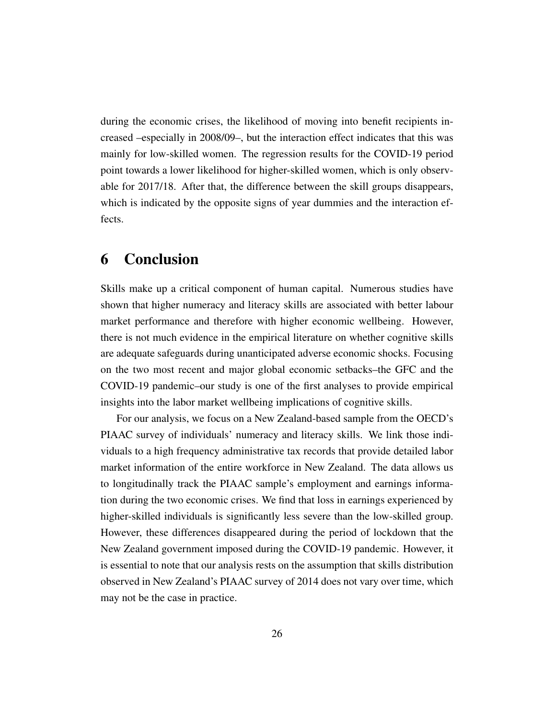during the economic crises, the likelihood of moving into benefit recipients increased –especially in 2008/09–, but the interaction effect indicates that this was mainly for low-skilled women. The regression results for the COVID-19 period point towards a lower likelihood for higher-skilled women, which is only observable for 2017/18. After that, the difference between the skill groups disappears, which is indicated by the opposite signs of year dummies and the interaction effects.

# <span id="page-26-0"></span>6 Conclusion

Skills make up a critical component of human capital. Numerous studies have shown that higher numeracy and literacy skills are associated with better labour market performance and therefore with higher economic wellbeing. However, there is not much evidence in the empirical literature on whether cognitive skills are adequate safeguards during unanticipated adverse economic shocks. Focusing on the two most recent and major global economic setbacks–the GFC and the COVID-19 pandemic–our study is one of the first analyses to provide empirical insights into the labor market wellbeing implications of cognitive skills.

For our analysis, we focus on a New Zealand-based sample from the OECD's PIAAC survey of individuals' numeracy and literacy skills. We link those individuals to a high frequency administrative tax records that provide detailed labor market information of the entire workforce in New Zealand. The data allows us to longitudinally track the PIAAC sample's employment and earnings information during the two economic crises. We find that loss in earnings experienced by higher-skilled individuals is significantly less severe than the low-skilled group. However, these differences disappeared during the period of lockdown that the New Zealand government imposed during the COVID-19 pandemic. However, it is essential to note that our analysis rests on the assumption that skills distribution observed in New Zealand's PIAAC survey of 2014 does not vary over time, which may not be the case in practice.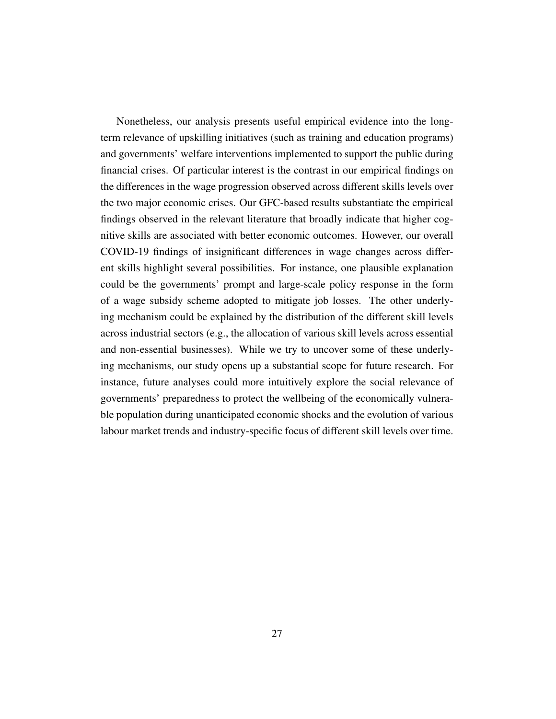Nonetheless, our analysis presents useful empirical evidence into the longterm relevance of upskilling initiatives (such as training and education programs) and governments' welfare interventions implemented to support the public during financial crises. Of particular interest is the contrast in our empirical findings on the differences in the wage progression observed across different skills levels over the two major economic crises. Our GFC-based results substantiate the empirical findings observed in the relevant literature that broadly indicate that higher cognitive skills are associated with better economic outcomes. However, our overall COVID-19 findings of insignificant differences in wage changes across different skills highlight several possibilities. For instance, one plausible explanation could be the governments' prompt and large-scale policy response in the form of a wage subsidy scheme adopted to mitigate job losses. The other underlying mechanism could be explained by the distribution of the different skill levels across industrial sectors (e.g., the allocation of various skill levels across essential and non-essential businesses). While we try to uncover some of these underlying mechanisms, our study opens up a substantial scope for future research. For instance, future analyses could more intuitively explore the social relevance of governments' preparedness to protect the wellbeing of the economically vulnerable population during unanticipated economic shocks and the evolution of various labour market trends and industry-specific focus of different skill levels over time.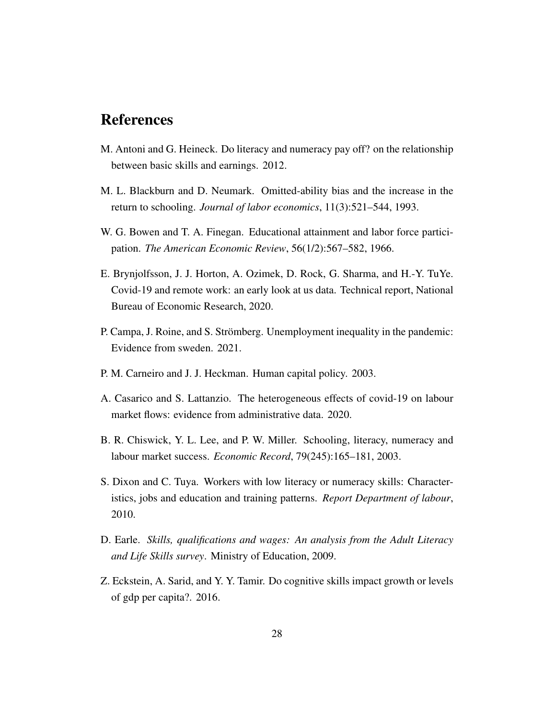# References

- <span id="page-28-4"></span>M. Antoni and G. Heineck. Do literacy and numeracy pay off? on the relationship between basic skills and earnings. 2012.
- <span id="page-28-2"></span>M. L. Blackburn and D. Neumark. Omitted-ability bias and the increase in the return to schooling. *Journal of labor economics*, 11(3):521–544, 1993.
- <span id="page-28-1"></span>W. G. Bowen and T. A. Finegan. Educational attainment and labor force participation. *The American Economic Review*, 56(1/2):567–582, 1966.
- <span id="page-28-8"></span>E. Brynjolfsson, J. J. Horton, A. Ozimek, D. Rock, G. Sharma, and H.-Y. TuYe. Covid-19 and remote work: an early look at us data. Technical report, National Bureau of Economic Research, 2020.
- <span id="page-28-9"></span>P. Campa, J. Roine, and S. Strömberg. Unemployment inequality in the pandemic: Evidence from sweden. 2021.
- <span id="page-28-0"></span>P. M. Carneiro and J. J. Heckman. Human capital policy. 2003.
- <span id="page-28-10"></span>A. Casarico and S. Lattanzio. The heterogeneous effects of covid-19 on labour market flows: evidence from administrative data. 2020.
- <span id="page-28-3"></span>B. R. Chiswick, Y. L. Lee, and P. W. Miller. Schooling, literacy, numeracy and labour market success. *Economic Record*, 79(245):165–181, 2003.
- <span id="page-28-7"></span>S. Dixon and C. Tuya. Workers with low literacy or numeracy skills: Characteristics, jobs and education and training patterns. *Report Department of labour*, 2010.
- <span id="page-28-6"></span>D. Earle. *Skills, qualifications and wages: An analysis from the Adult Literacy and Life Skills survey*. Ministry of Education, 2009.
- <span id="page-28-5"></span>Z. Eckstein, A. Sarid, and Y. Y. Tamir. Do cognitive skills impact growth or levels of gdp per capita?. 2016.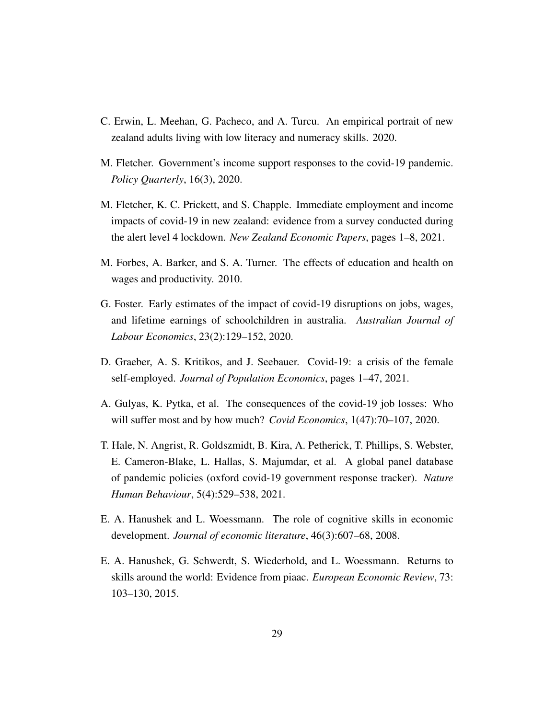- <span id="page-29-3"></span>C. Erwin, L. Meehan, G. Pacheco, and A. Turcu. An empirical portrait of new zealand adults living with low literacy and numeracy skills. 2020.
- <span id="page-29-5"></span>M. Fletcher. Government's income support responses to the covid-19 pandemic. *Policy Quarterly*, 16(3), 2020.
- <span id="page-29-6"></span>M. Fletcher, K. C. Prickett, and S. Chapple. Immediate employment and income impacts of covid-19 in new zealand: evidence from a survey conducted during the alert level 4 lockdown. *New Zealand Economic Papers*, pages 1–8, 2021.
- <span id="page-29-2"></span>M. Forbes, A. Barker, and S. A. Turner. The effects of education and health on wages and productivity. 2010.
- <span id="page-29-8"></span>G. Foster. Early estimates of the impact of covid-19 disruptions on jobs, wages, and lifetime earnings of schoolchildren in australia. *Australian Journal of Labour Economics*, 23(2):129–152, 2020.
- <span id="page-29-7"></span>D. Graeber, A. S. Kritikos, and J. Seebauer. Covid-19: a crisis of the female self-employed. *Journal of Population Economics*, pages 1–47, 2021.
- <span id="page-29-9"></span>A. Gulyas, K. Pytka, et al. The consequences of the covid-19 job losses: Who will suffer most and by how much? *Covid Economics*, 1(47):70–107, 2020.
- <span id="page-29-4"></span>T. Hale, N. Angrist, R. Goldszmidt, B. Kira, A. Petherick, T. Phillips, S. Webster, E. Cameron-Blake, L. Hallas, S. Majumdar, et al. A global panel database of pandemic policies (oxford covid-19 government response tracker). *Nature Human Behaviour*, 5(4):529–538, 2021.
- <span id="page-29-1"></span>E. A. Hanushek and L. Woessmann. The role of cognitive skills in economic development. *Journal of economic literature*, 46(3):607–68, 2008.
- <span id="page-29-0"></span>E. A. Hanushek, G. Schwerdt, S. Wiederhold, and L. Woessmann. Returns to skills around the world: Evidence from piaac. *European Economic Review*, 73: 103–130, 2015.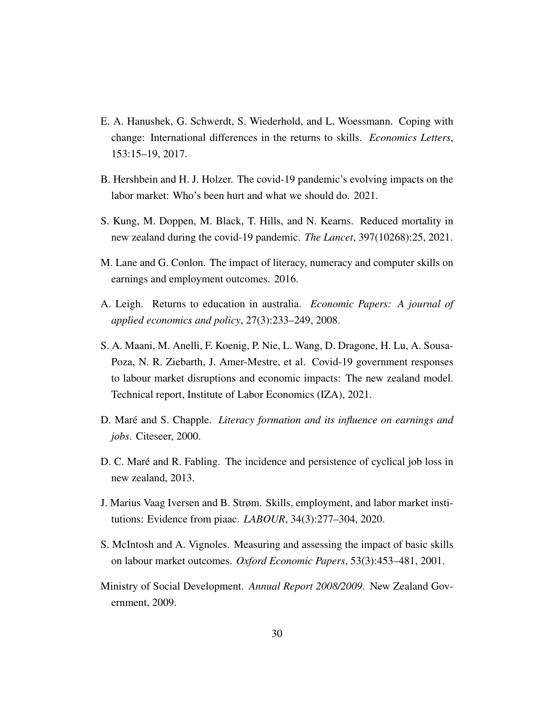- <span id="page-30-1"></span>E. A. Hanushek, G. Schwerdt, S. Wiederhold, and L. Woessmann. Coping with change: International differences in the returns to skills. *Economics Letters*, 153:15–19, 2017.
- <span id="page-30-10"></span>B. Hershbein and H. J. Holzer. The covid-19 pandemic's evolving impacts on the labor market: Who's been hurt and what we should do. 2021.
- <span id="page-30-8"></span>S. Kung, M. Doppen, M. Black, T. Hills, and N. Kearns. Reduced mortality in new zealand during the covid-19 pandemic. *The Lancet*, 397(10268):25, 2021.
- <span id="page-30-3"></span>M. Lane and G. Conlon. The impact of literacy, numeracy and computer skills on earnings and employment outcomes. 2016.
- <span id="page-30-2"></span>A. Leigh. Returns to education in australia. *Economic Papers: A journal of applied economics and policy*, 27(3):233–249, 2008.
- <span id="page-30-9"></span>S. A. Maani, M. Anelli, F. Koenig, P. Nie, L. Wang, D. Dragone, H. Lu, A. Sousa-Poza, N. R. Ziebarth, J. Amer-Mestre, et al. Covid-19 government responses to labour market disruptions and economic impacts: The new zealand model. Technical report, Institute of Labor Economics (IZA), 2021.
- <span id="page-30-5"></span>D. Maré and S. Chapple. *Literacy formation and its influence on earnings and jobs*. Citeseer, 2000.
- <span id="page-30-6"></span>D. C. Maré and R. Fabling. The incidence and persistence of cyclical job loss in new zealand, 2013.
- <span id="page-30-4"></span>J. Marius Vaag Iversen and B. Strøm. Skills, employment, and labor market institutions: Evidence from piaac. *LABOUR*, 34(3):277–304, 2020.
- <span id="page-30-0"></span>S. McIntosh and A. Vignoles. Measuring and assessing the impact of basic skills on labour market outcomes. *Oxford Economic Papers*, 53(3):453–481, 2001.
- <span id="page-30-7"></span>Ministry of Social Development. *Annual Report 2008/2009*. New Zealand Government, 2009.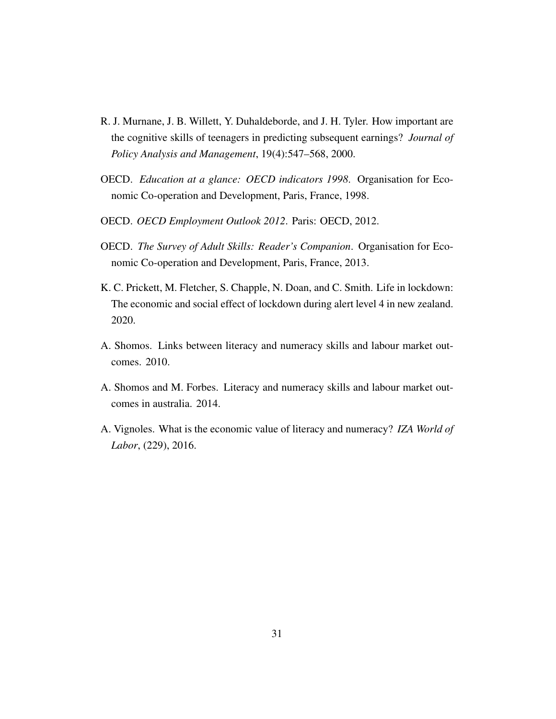- <span id="page-31-0"></span>R. J. Murnane, J. B. Willett, Y. Duhaldeborde, and J. H. Tyler. How important are the cognitive skills of teenagers in predicting subsequent earnings? *Journal of Policy Analysis and Management*, 19(4):547–568, 2000.
- <span id="page-31-1"></span>OECD. *Education at a glance: OECD indicators 1998*. Organisation for Economic Co-operation and Development, Paris, France, 1998.
- <span id="page-31-6"></span>OECD. *OECD Employment Outlook 2012*. Paris: OECD, 2012.
- <span id="page-31-2"></span>OECD. *The Survey of Adult Skills: Reader's Companion*. Organisation for Economic Co-operation and Development, Paris, France, 2013.
- <span id="page-31-7"></span>K. C. Prickett, M. Fletcher, S. Chapple, N. Doan, and C. Smith. Life in lockdown: The economic and social effect of lockdown during alert level 4 in new zealand. 2020.
- <span id="page-31-3"></span>A. Shomos. Links between literacy and numeracy skills and labour market outcomes. 2010.
- <span id="page-31-4"></span>A. Shomos and M. Forbes. Literacy and numeracy skills and labour market outcomes in australia. 2014.
- <span id="page-31-5"></span>A. Vignoles. What is the economic value of literacy and numeracy? *IZA World of Labor*, (229), 2016.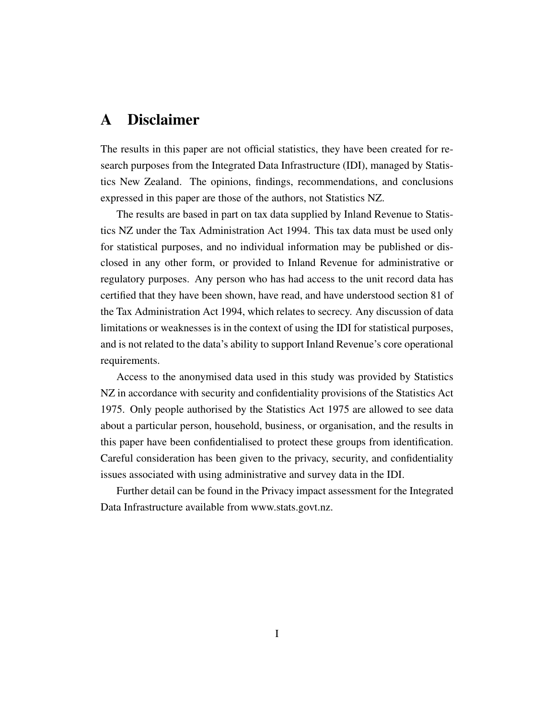# A Disclaimer

The results in this paper are not official statistics, they have been created for research purposes from the Integrated Data Infrastructure (IDI), managed by Statistics New Zealand. The opinions, findings, recommendations, and conclusions expressed in this paper are those of the authors, not Statistics NZ.

The results are based in part on tax data supplied by Inland Revenue to Statistics NZ under the Tax Administration Act 1994. This tax data must be used only for statistical purposes, and no individual information may be published or disclosed in any other form, or provided to Inland Revenue for administrative or regulatory purposes. Any person who has had access to the unit record data has certified that they have been shown, have read, and have understood section 81 of the Tax Administration Act 1994, which relates to secrecy. Any discussion of data limitations or weaknesses is in the context of using the IDI for statistical purposes, and is not related to the data's ability to support Inland Revenue's core operational requirements.

Access to the anonymised data used in this study was provided by Statistics NZ in accordance with security and confidentiality provisions of the Statistics Act 1975. Only people authorised by the Statistics Act 1975 are allowed to see data about a particular person, household, business, or organisation, and the results in this paper have been confidentialised to protect these groups from identification. Careful consideration has been given to the privacy, security, and confidentiality issues associated with using administrative and survey data in the IDI.

Further detail can be found in the Privacy impact assessment for the Integrated Data Infrastructure available from www.stats.govt.nz.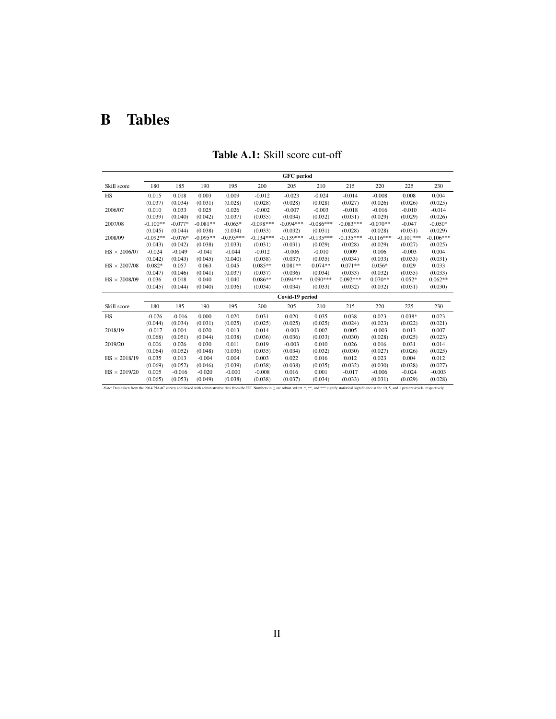# B Tables

|                                                                                                                                                                                                                                | <b>GFC</b> period |           |            |             |             |                 |             |             |             |             |             |
|--------------------------------------------------------------------------------------------------------------------------------------------------------------------------------------------------------------------------------|-------------------|-----------|------------|-------------|-------------|-----------------|-------------|-------------|-------------|-------------|-------------|
| Skill score                                                                                                                                                                                                                    | 180               | 185       | 190        | 195         | 200         | 205             | 210         | 215         | 220         | 225         | 230         |
| HS                                                                                                                                                                                                                             | 0.015             | 0.018     | 0.003      | 0.009       | $-0.012$    | $-0.023$        | $-0.024$    | $-0.014$    | $-0.008$    | 0.008       | 0.004       |
|                                                                                                                                                                                                                                | (0.037)           | (0.034)   | (0.031)    | (0.028)     | (0.028)     | (0.028)         | (0.028)     | (0.027)     | (0.026)     | (0.026)     | (0.025)     |
| 2006/07                                                                                                                                                                                                                        | 0.010             | 0.033     | 0.025      | 0.026       | $-0.002$    | $-0.007$        | $-0.003$    | $-0.018$    | $-0.016$    | $-0.010$    | $-0.014$    |
|                                                                                                                                                                                                                                | (0.039)           | (0.040)   | (0.042)    | (0.037)     | (0.035)     | (0.034)         | (0.032)     | (0.031)     | (0.029)     | (0.029)     | (0.026)     |
| 2007/08                                                                                                                                                                                                                        | $-0.100**$        | $-0.077*$ | $-0.081**$ | $-0.065*$   | $-0.098***$ | $-0.094***$     | $-0.086***$ | $-0.083***$ | $-0.070**$  | $-0.047$    | $-0.050*$   |
|                                                                                                                                                                                                                                | (0.045)           | (0.044)   | (0.038)    | (0.034)     | (0.033)     | (0.032)         | (0.031)     | (0.028)     | (0.028)     | (0.031)     | (0.029)     |
| 2008/09                                                                                                                                                                                                                        | $-0.092**$        | $-0.076*$ | $-0.095**$ | $-0.095***$ | $-0.134***$ | $-0.139***$     | $-0.135***$ | $-0.135***$ | $-0.116***$ | $-0.101***$ | $-0.106***$ |
|                                                                                                                                                                                                                                | (0.043)           | (0.042)   | (0.038)    | (0.033)     | (0.031)     | (0.031)         | (0.029)     | (0.028)     | (0.029)     | (0.027)     | (0.025)     |
| $HS \times 2006/07$                                                                                                                                                                                                            | $-0.024$          | $-0.049$  | $-0.041$   | $-0.044$    | $-0.012$    | $-0.006$        | $-0.010$    | 0.009       | 0.006       | $-0.003$    | 0.004       |
|                                                                                                                                                                                                                                | (0.042)           | (0.043)   | (0.045)    | (0.040)     | (0.038)     | (0.037)         | (0.035)     | (0.034)     | (0.033)     | (0.033)     | (0.031)     |
| $HS \times 2007/08$                                                                                                                                                                                                            | $0.082*$          | 0.057     | 0.063      | 0.045       | $0.085**$   | $0.081**$       | $0.074**$   | $0.071**$   | $0.056*$    | 0.029       | 0.033       |
|                                                                                                                                                                                                                                | (0.047)           | (0.046)   | (0.041)    | (0.037)     | (0.037)     | (0.036)         | (0.034)     | (0.033)     | (0.032)     | (0.035)     | (0.033)     |
| $\text{HS}\times2008/09$                                                                                                                                                                                                       | 0.036             | 0.018     | 0.040      | 0.040       | $0.086**$   | $0.094***$      | $0.090***$  | $0.092***$  | $0.070**$   | $0.052*$    | $0.062**$   |
|                                                                                                                                                                                                                                | (0.045)           | (0.044)   | (0.040)    | (0.036)     | (0.034)     | (0.034)         | (0.033)     | (0.032)     | (0.032)     | (0.031)     | (0.030)     |
|                                                                                                                                                                                                                                |                   |           |            |             |             | Covid-19 period |             |             |             |             |             |
| Skill score                                                                                                                                                                                                                    | 180               | 185       | 190        | 195         | 200         | 205             | 210         | 215         | 220         | 225         | 230         |
| <b>HS</b>                                                                                                                                                                                                                      | $-0.026$          | $-0.016$  | 0.000      | 0.020       | 0.031       | 0.020           | 0.035       | 0.038       | 0.023       | $0.038*$    | 0.023       |
|                                                                                                                                                                                                                                | (0.044)           | (0.034)   | (0.031)    | (0.025)     | (0.025)     | (0.025)         | (0.025)     | (0.024)     | (0.023)     | (0.022)     | (0.021)     |
| 2018/19                                                                                                                                                                                                                        | $-0.017$          | 0.004     | 0.020      | 0.013       | 0.014       | $-0.003$        | 0.002       | 0.005       | $-0.003$    | 0.013       | 0.007       |
|                                                                                                                                                                                                                                | (0.068)           | (0.051)   | (0.044)    | (0.038)     | (0.036)     | (0.036)         | (0.033)     | (0.030)     | (0.028)     | (0.025)     | (0.023)     |
| 2019/20                                                                                                                                                                                                                        | 0.006             | 0.026     | 0.030      | 0.011       | 0.019       | $-0.003$        | 0.010       | 0.026       | 0.016       | 0.031       | 0.014       |
|                                                                                                                                                                                                                                | (0.064)           | (0.052)   | (0.048)    | (0.036)     | (0.035)     | (0.034)         | (0.032)     | (0.030)     | (0.027)     | (0.026)     | (0.025)     |
| $HS \times 2018/19$                                                                                                                                                                                                            | 0.035             | 0.013     | $-0.004$   | 0.004       | 0.003       | 0.022           | 0.016       | 0.012       | 0.023       | 0.004       | 0.012       |
|                                                                                                                                                                                                                                | (0.069)           | (0.052)   | (0.046)    | (0.039)     | (0.038)     | (0.038)         | (0.035)     | (0.032)     | (0.030)     | (0.028)     | (0.027)     |
| $HS \times 2019/20$                                                                                                                                                                                                            | 0.005             | $-0.016$  | $-0.020$   | $-0.000$    | $-0.008$    | 0.016           | 0.001       | $-0.017$    | $-0.006$    | $-0.024$    | $-0.003$    |
|                                                                                                                                                                                                                                | (0.065)           | (0.053)   | (0.049)    | (0.038)     | (0.038)     | (0.037)         | (0.034)     | (0.033)     | (0.031)     | (0.029)     | (0.028)     |
| Note: Data taken from the 2014 PIAAC survey and linked with administrative data from the IDI. Numbers in () are robust std err. *,**, and *** signify statistical significance at the 10, 5, and 1 percent-levels, respectivel |                   |           |            |             |             |                 |             |             |             |             |             |

Table A.1: Skill score cut-off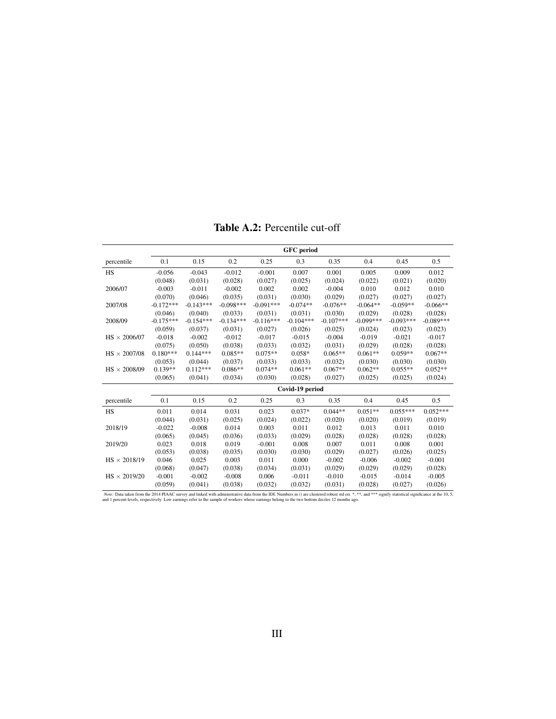Table A.2: Percentile cut-off

<span id="page-34-0"></span>

|                     | <b>GFC</b> period |             |             |             |                 |             |             |             |             |
|---------------------|-------------------|-------------|-------------|-------------|-----------------|-------------|-------------|-------------|-------------|
| percentile          | 0.1               | 0.15        | 0.2         | 0.25        | 0.3             | 0.35        | 0.4         | 0.45        | 0.5         |
| <b>HS</b>           | $-0.056$          | $-0.043$    | $-0.012$    | $-0.001$    | 0.007           | 0.001       | 0.005       | 0.009       | 0.012       |
|                     | (0.048)           | (0.031)     | (0.028)     | (0.027)     | (0.025)         | (0.024)     | (0.022)     | (0.021)     | (0.020)     |
| 2006/07             | $-0.003$          | $-0.011$    | $-0.002$    | 0.002       | 0.002           | $-0.004$    | 0.010       | 0.012       | 0.010       |
|                     | (0.070)           | (0.046)     | (0.035)     | (0.031)     | (0.030)         | (0.029)     | (0.027)     | (0.027)     | (0.027)     |
| 2007/08             | $-0.172***$       | $-0.143***$ | $-0.098***$ | $-0.091***$ | $-0.074**$      | $-0.076**$  | $-0.064**$  | $-0.059**$  | $-0.066**$  |
|                     | (0.046)           | (0.040)     | (0.033)     | (0.031)     | (0.031)         | (0.030)     | (0.029)     | (0.028)     | (0.028)     |
| 2008/09             | $-0.175***$       | $-0.154***$ | $-0.134***$ | $-0.116***$ | $-0.104***$     | $-0.107***$ | $-0.099***$ | $-0.093***$ | $-0.089***$ |
|                     | (0.059)           | (0.037)     | (0.031)     | (0.027)     | (0.026)         | (0.025)     | (0.024)     | (0.023)     | (0.023)     |
| $HS \times 2006/07$ | $-0.018$          | $-0.002$    | $-0.012$    | $-0.017$    | $-0.015$        | $-0.004$    | $-0.019$    | $-0.021$    | $-0.017$    |
|                     | (0.075)           | (0.050)     | (0.038)     | (0.033)     | (0.032)         | (0.031)     | (0.029)     | (0.028)     | (0.028)     |
| $HS \times 2007/08$ | $0.180***$        | $0.144***$  | $0.085**$   | $0.075**$   | $0.058*$        | $0.065**$   | $0.061**$   | $0.059**$   | $0.067**$   |
|                     | (0.053)           | (0.044)     | (0.037)     | (0.033)     | (0.033)         | (0.032)     | (0.030)     | (0.030)     | (0.030)     |
| $HS \times 2008/09$ | $0.139**$         | $0.112***$  | $0.086**$   | $0.074**$   | $0.061**$       | $0.067**$   | $0.062**$   | $0.055**$   | $0.052**$   |
|                     | (0.065)           | (0.041)     | (0.034)     | (0.030)     | (0.028)         | (0.027)     | (0.025)     | (0.025)     | (0.024)     |
|                     |                   |             |             |             | Covid-19 period |             |             |             |             |
| percentile          | 0.1               | 0.15        | 0.2         | 0.25        | 0.3             | 0.35        | 0.4         | 0.45        | 0.5         |
| <b>HS</b>           | 0.011             | 0.014       | 0.031       | 0.023       | $0.037*$        | $0.044**$   | $0.051**$   | $0.055***$  | $0.052***$  |
|                     | (0.044)           | (0.031)     | (0.025)     | (0.024)     | (0.022)         | (0.020)     | (0.020)     | (0.019)     | (0.019)     |
| 2018/19             | $-0.022$          | $-0.008$    | 0.014       | 0.003       | 0.011           | 0.012       | 0.013       | 0.011       | 0.010       |
|                     | (0.065)           | (0.045)     | (0.036)     | (0.033)     | (0.029)         | (0.028)     | (0.028)     | (0.028)     | (0.028)     |
| 2019/20             | 0.023             | 0.018       | 0.019       | $-0.001$    | 0.008           | 0.007       | 0.011       | 0.008       | 0.001       |
|                     | (0.053)           | (0.038)     | (0.035)     | (0.030)     | (0.030)         | (0.029)     | (0.027)     | (0.026)     | (0.025)     |
| $HS \times 2018/19$ | 0.046             | 0.025       | 0.003       | 0.011       | 0.000           | $-0.002$    | $-0.006$    | $-0.002$    | $-0.001$    |
|                     | (0.068)           | (0.047)     | (0.038)     | (0.034)     | (0.031)         | (0.029)     | (0.029)     | (0.029)     | (0.028)     |
| $HS \times 2019/20$ | $-0.001$          | $-0.002$    | $-0.008$    | 0.006       | $-0.011$        | $-0.010$    | $-0.015$    | $-0.014$    | $-0.005$    |
|                     | (0.059)           | (0.041)     | (0.038)     | (0.032)     | (0.032)         | (0.031)     | (0.028)     | (0.027)     | (0.026)     |

Note: Data taken from the 2014 PIAAC survey and linked with administrative data from the IDI. Numbers in () are clustered robust std err. \*, \*\*, and \*\*\* signify statistical significance at the 10, 5, and 1 percent-levels,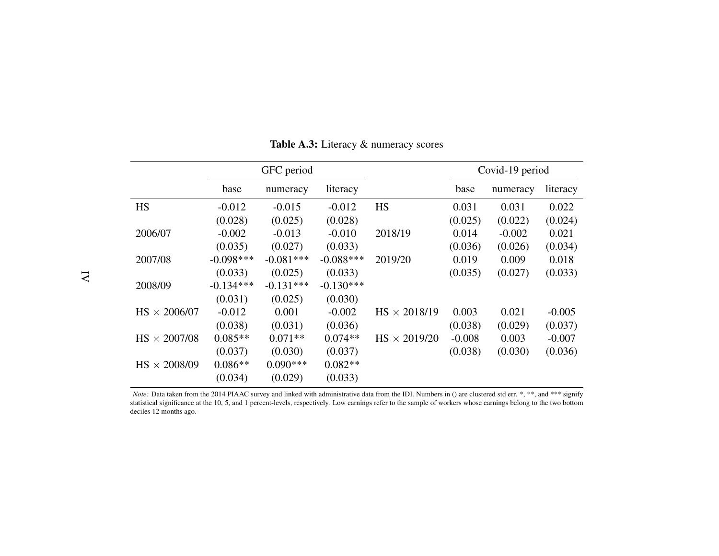|                     |             | GFC period  |             |                     | Covid-19 period |          |          |
|---------------------|-------------|-------------|-------------|---------------------|-----------------|----------|----------|
|                     | base        | numeracy    | literacy    |                     | base            | numeracy | literacy |
| <b>HS</b>           | $-0.012$    | $-0.015$    | $-0.012$    | <b>HS</b>           | 0.031           | 0.031    | 0.022    |
|                     | (0.028)     | (0.025)     | (0.028)     |                     | (0.025)         | (0.022)  | (0.024)  |
| 2006/07             | $-0.002$    | $-0.013$    | $-0.010$    | 2018/19             | 0.014           | $-0.002$ | 0.021    |
|                     | (0.035)     | (0.027)     | (0.033)     |                     | (0.036)         | (0.026)  | (0.034)  |
| 2007/08             | $-0.098***$ | $-0.081***$ | $-0.088***$ | 2019/20             | 0.019           | 0.009    | 0.018    |
|                     | (0.033)     | (0.025)     | (0.033)     |                     | (0.035)         | (0.027)  | (0.033)  |
| 2008/09             | $-0.134***$ | $-0.131***$ | $-0.130***$ |                     |                 |          |          |
|                     | (0.031)     | (0.025)     | (0.030)     |                     |                 |          |          |
| $HS \times 2006/07$ | $-0.012$    | 0.001       | $-0.002$    | $HS \times 2018/19$ | 0.003           | 0.021    | $-0.005$ |
|                     | (0.038)     | (0.031)     | (0.036)     |                     | (0.038)         | (0.029)  | (0.037)  |
| $HS \times 2007/08$ | $0.085**$   | $0.071**$   | $0.074**$   | $HS \times 2019/20$ | $-0.008$        | 0.003    | $-0.007$ |
|                     | (0.037)     | (0.030)     | (0.037)     |                     | (0.038)         | (0.030)  | (0.036)  |
| $HS \times 2008/09$ | $0.086**$   | $0.090***$  | $0.082**$   |                     |                 |          |          |
|                     | (0.034)     | (0.029)     | (0.033)     |                     |                 |          |          |

Table A.3: Literacy & numeracy scores

<span id="page-35-0"></span>*Note:* Data taken from the <sup>2014</sup> PIAAC survey and linked with administrative data from the IDI. Numbers in () are clustered std err. \*, \*\*, and \*\*\* signify statistical significance at the 10, 5, and 1 percent-levels, respectively. Low earnings refer to the sample of workers whose earnings belong to the two bottomdeciles 12 months ago.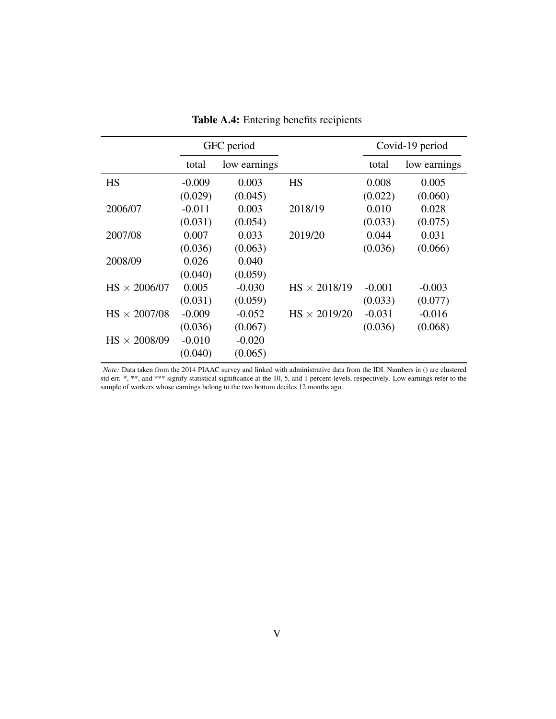<span id="page-36-0"></span>

|                     | GFC period |              |                     |          | Covid-19 period |
|---------------------|------------|--------------|---------------------|----------|-----------------|
|                     | total      | low earnings |                     | total    | low earnings    |
| <b>HS</b>           | $-0.009$   | 0.003        | <b>HS</b>           | 0.008    | 0.005           |
|                     | (0.029)    | (0.045)      |                     | (0.022)  | (0.060)         |
| 2006/07             | $-0.011$   | 0.003        | 2018/19             | 0.010    | 0.028           |
|                     | (0.031)    | (0.054)      |                     | (0.033)  | (0.075)         |
| 2007/08             | 0.007      | 0.033        | 2019/20             | 0.044    | 0.031           |
|                     | (0.036)    | (0.063)      |                     | (0.036)  | (0.066)         |
| 2008/09             | 0.026      | 0.040        |                     |          |                 |
|                     | (0.040)    | (0.059)      |                     |          |                 |
| $HS \times 2006/07$ | 0.005      | $-0.030$     | $HS \times 2018/19$ | $-0.001$ | $-0.003$        |
|                     | (0.031)    | (0.059)      |                     | (0.033)  | (0.077)         |
| $HS \times 2007/08$ | $-0.009$   | $-0.052$     | $HS \times 2019/20$ | $-0.031$ | $-0.016$        |
|                     | (0.036)    | (0.067)      |                     | (0.036)  | (0.068)         |
| $HS \times 2008/09$ | $-0.010$   | $-0.020$     |                     |          |                 |
|                     | (0.040)    | (0.065)      |                     |          |                 |

Table A.4: Entering benefits recipients

*Note:* Data taken from the 2014 PIAAC survey and linked with administrative data from the IDI. Numbers in () are clustered std err. \*, \*\*, and \*\*\* signify statistical significance at the 10, 5, and 1 percent-levels, respectively. Low earnings refer to the sample of workers whose earnings belong to the two bottom deciles 12 months ago.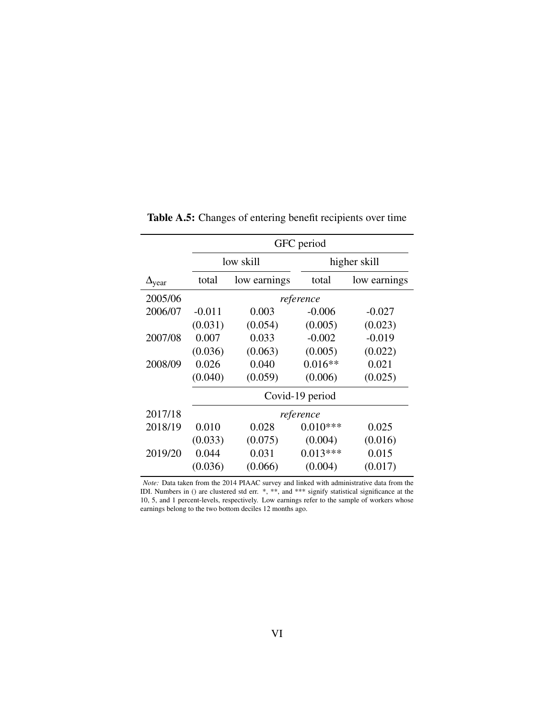|                        |          | GFC period   |                 |              |  |  |  |  |  |
|------------------------|----------|--------------|-----------------|--------------|--|--|--|--|--|
|                        |          | low skill    | higher skill    |              |  |  |  |  |  |
| $\Delta_{\text{year}}$ | total    | low earnings | total           | low earnings |  |  |  |  |  |
| 2005/06                |          |              | reference       |              |  |  |  |  |  |
| 2006/07                | $-0.011$ | 0.003        | $-0.006$        | $-0.027$     |  |  |  |  |  |
|                        | (0.031)  | (0.054)      | (0.005)         | (0.023)      |  |  |  |  |  |
| 2007/08                | 0.007    | 0.033        | $-0.002$        | $-0.019$     |  |  |  |  |  |
|                        | (0.036)  | (0.063)      | (0.005)         | (0.022)      |  |  |  |  |  |
| 2008/09                | 0.026    | 0.040        | $0.016**$       | 0.021        |  |  |  |  |  |
|                        | (0.040)  | (0.059)      | (0.006)         | (0.025)      |  |  |  |  |  |
|                        |          |              | Covid-19 period |              |  |  |  |  |  |
| 2017/18                |          |              | reference       |              |  |  |  |  |  |
| 2018/19                | 0.010    | 0.028        | $0.010***$      | 0.025        |  |  |  |  |  |
|                        | (0.033)  | (0.075)      | (0.004)         | (0.016)      |  |  |  |  |  |
| 2019/20                | 0.044    | 0.031        | $0.013***$      | 0.015        |  |  |  |  |  |
|                        | (0.036)  | (0.066)      | (0.004)         | (0.017)      |  |  |  |  |  |
|                        |          |              |                 |              |  |  |  |  |  |

Table A.5: Changes of entering benefit recipients over time

*Note:* Data taken from the 2014 PIAAC survey and linked with administrative data from the IDI. Numbers in () are clustered std err. \*, \*\*, and \*\*\* signify statistical significance at the 10, 5, and 1 percent-levels, respectively. Low earnings refer to the sample of workers whose earnings belong to the two bottom deciles 12 months ago.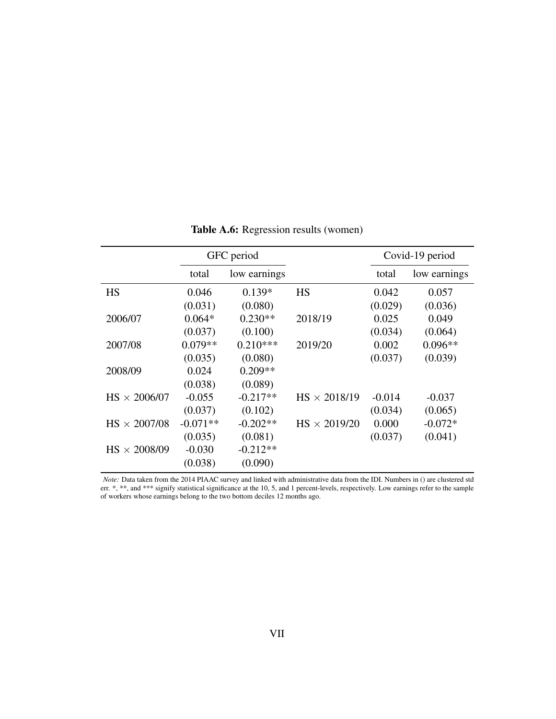<span id="page-38-0"></span>

|                     | GFC period |              |                     | Covid-19 period |              |
|---------------------|------------|--------------|---------------------|-----------------|--------------|
|                     | total      | low earnings |                     | total           | low earnings |
| <b>HS</b>           | 0.046      | $0.139*$     | <b>HS</b>           | 0.042           | 0.057        |
|                     | (0.031)    | (0.080)      |                     | (0.029)         | (0.036)      |
| 2006/07             | $0.064*$   | $0.230**$    | 2018/19             | 0.025           | 0.049        |
|                     | (0.037)    | (0.100)      |                     | (0.034)         | (0.064)      |
| 2007/08             | $0.079**$  | $0.210***$   | 2019/20             | 0.002           | $0.096**$    |
|                     | (0.035)    | (0.080)      |                     | (0.037)         | (0.039)      |
| 2008/09             | 0.024      | $0.209**$    |                     |                 |              |
|                     | (0.038)    | (0.089)      |                     |                 |              |
| $HS \times 2006/07$ | $-0.055$   | $-0.217**$   | $HS \times 2018/19$ | $-0.014$        | $-0.037$     |
|                     | (0.037)    | (0.102)      |                     | (0.034)         | (0.065)      |
| $HS \times 2007/08$ | $-0.071**$ | $-0.202**$   | $HS \times 2019/20$ | 0.000           | $-0.072*$    |
|                     | (0.035)    | (0.081)      |                     | (0.037)         | (0.041)      |
| $HS \times 2008/09$ | $-0.030$   | $-0.212**$   |                     |                 |              |
|                     | (0.038)    | (0.090)      |                     |                 |              |

Table A.6: Regression results (women)

*Note:* Data taken from the 2014 PIAAC survey and linked with administrative data from the IDI. Numbers in () are clustered std err. \*, \*\*, and \*\*\* signify statistical significance at the 10, 5, and 1 percent-levels, respectively. Low earnings refer to the sample of workers whose earnings belong to the two bottom deciles 12 months ago.